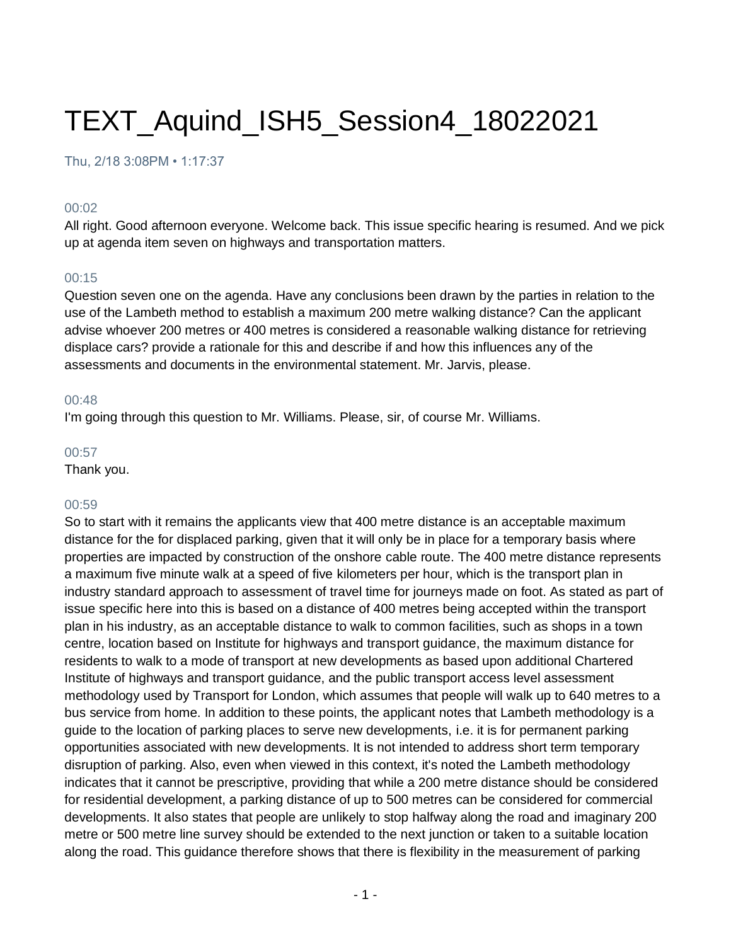# TEXT\_Aquind\_ISH5\_Session4\_18022021

Thu, 2/18 3:08PM • 1:17:37

#### 00:02

All right. Good afternoon everyone. Welcome back. This issue specific hearing is resumed. And we pick up at agenda item seven on highways and transportation matters.

#### 00:15

Question seven one on the agenda. Have any conclusions been drawn by the parties in relation to the use of the Lambeth method to establish a maximum 200 metre walking distance? Can the applicant advise whoever 200 metres or 400 metres is considered a reasonable walking distance for retrieving displace cars? provide a rationale for this and describe if and how this influences any of the assessments and documents in the environmental statement. Mr. Jarvis, please.

#### 00:48

I'm going through this question to Mr. Williams. Please, sir, of course Mr. Williams.

### 00:57

Thank you.

### 00:59

So to start with it remains the applicants view that 400 metre distance is an acceptable maximum distance for the for displaced parking, given that it will only be in place for a temporary basis where properties are impacted by construction of the onshore cable route. The 400 metre distance represents a maximum five minute walk at a speed of five kilometers per hour, which is the transport plan in industry standard approach to assessment of travel time for journeys made on foot. As stated as part of issue specific here into this is based on a distance of 400 metres being accepted within the transport plan in his industry, as an acceptable distance to walk to common facilities, such as shops in a town centre, location based on Institute for highways and transport guidance, the maximum distance for residents to walk to a mode of transport at new developments as based upon additional Chartered Institute of highways and transport guidance, and the public transport access level assessment methodology used by Transport for London, which assumes that people will walk up to 640 metres to a bus service from home. In addition to these points, the applicant notes that Lambeth methodology is a guide to the location of parking places to serve new developments, i.e. it is for permanent parking opportunities associated with new developments. It is not intended to address short term temporary disruption of parking. Also, even when viewed in this context, it's noted the Lambeth methodology indicates that it cannot be prescriptive, providing that while a 200 metre distance should be considered for residential development, a parking distance of up to 500 metres can be considered for commercial developments. It also states that people are unlikely to stop halfway along the road and imaginary 200 metre or 500 metre line survey should be extended to the next junction or taken to a suitable location along the road. This guidance therefore shows that there is flexibility in the measurement of parking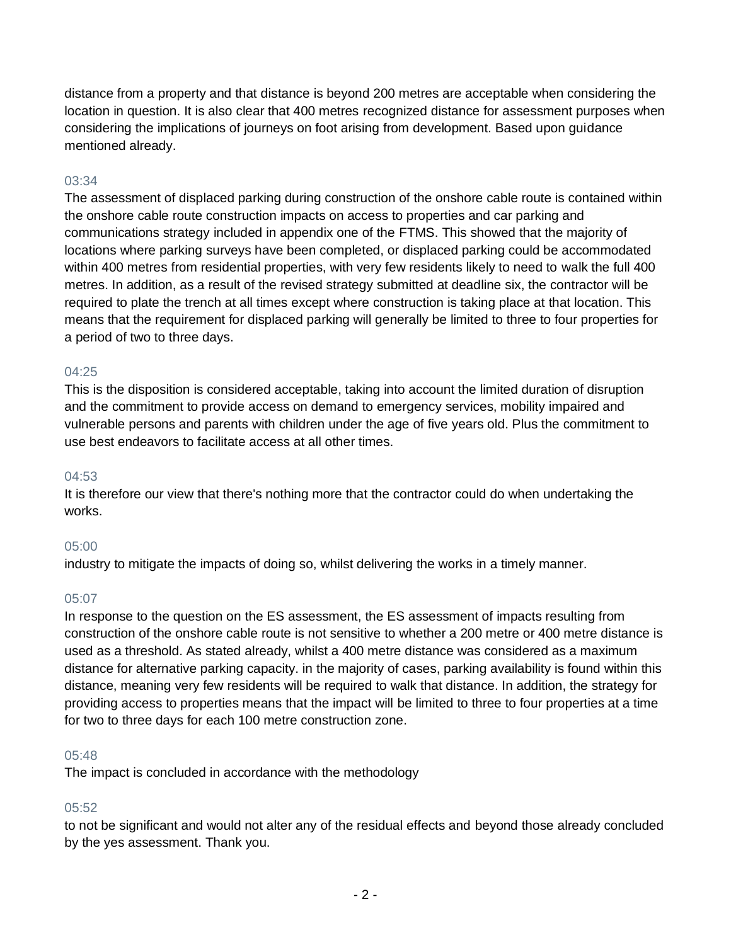distance from a property and that distance is beyond 200 metres are acceptable when considering the location in question. It is also clear that 400 metres recognized distance for assessment purposes when considering the implications of journeys on foot arising from development. Based upon guidance mentioned already.

### 03:34

The assessment of displaced parking during construction of the onshore cable route is contained within the onshore cable route construction impacts on access to properties and car parking and communications strategy included in appendix one of the FTMS. This showed that the majority of locations where parking surveys have been completed, or displaced parking could be accommodated within 400 metres from residential properties, with very few residents likely to need to walk the full 400 metres. In addition, as a result of the revised strategy submitted at deadline six, the contractor will be required to plate the trench at all times except where construction is taking place at that location. This means that the requirement for displaced parking will generally be limited to three to four properties for a period of two to three days.

### 04:25

This is the disposition is considered acceptable, taking into account the limited duration of disruption and the commitment to provide access on demand to emergency services, mobility impaired and vulnerable persons and parents with children under the age of five years old. Plus the commitment to use best endeavors to facilitate access at all other times.

### 04:53

It is therefore our view that there's nothing more that the contractor could do when undertaking the works.

#### 05:00

industry to mitigate the impacts of doing so, whilst delivering the works in a timely manner.

#### 05:07

In response to the question on the ES assessment, the ES assessment of impacts resulting from construction of the onshore cable route is not sensitive to whether a 200 metre or 400 metre distance is used as a threshold. As stated already, whilst a 400 metre distance was considered as a maximum distance for alternative parking capacity. in the majority of cases, parking availability is found within this distance, meaning very few residents will be required to walk that distance. In addition, the strategy for providing access to properties means that the impact will be limited to three to four properties at a time for two to three days for each 100 metre construction zone.

#### 05:48

The impact is concluded in accordance with the methodology

### 05:52

to not be significant and would not alter any of the residual effects and beyond those already concluded by the yes assessment. Thank you.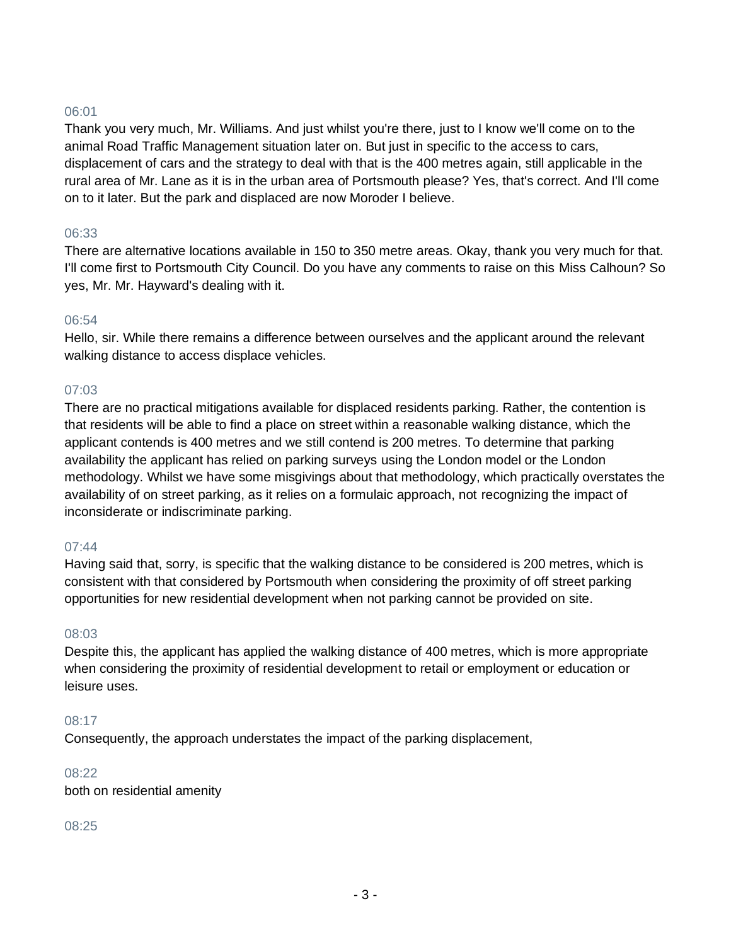Thank you very much, Mr. Williams. And just whilst you're there, just to I know we'll come on to the animal Road Traffic Management situation later on. But just in specific to the access to cars, displacement of cars and the strategy to deal with that is the 400 metres again, still applicable in the rural area of Mr. Lane as it is in the urban area of Portsmouth please? Yes, that's correct. And I'll come on to it later. But the park and displaced are now Moroder I believe.

### 06:33

There are alternative locations available in 150 to 350 metre areas. Okay, thank you very much for that. I'll come first to Portsmouth City Council. Do you have any comments to raise on this Miss Calhoun? So yes, Mr. Mr. Hayward's dealing with it.

### 06:54

Hello, sir. While there remains a difference between ourselves and the applicant around the relevant walking distance to access displace vehicles.

### 07:03

There are no practical mitigations available for displaced residents parking. Rather, the contention is that residents will be able to find a place on street within a reasonable walking distance, which the applicant contends is 400 metres and we still contend is 200 metres. To determine that parking availability the applicant has relied on parking surveys using the London model or the London methodology. Whilst we have some misgivings about that methodology, which practically overstates the availability of on street parking, as it relies on a formulaic approach, not recognizing the impact of inconsiderate or indiscriminate parking.

### 07:44

Having said that, sorry, is specific that the walking distance to be considered is 200 metres, which is consistent with that considered by Portsmouth when considering the proximity of off street parking opportunities for new residential development when not parking cannot be provided on site.

### 08:03

Despite this, the applicant has applied the walking distance of 400 metres, which is more appropriate when considering the proximity of residential development to retail or employment or education or leisure uses.

### 08:17

Consequently, the approach understates the impact of the parking displacement,

#### 08:22

both on residential amenity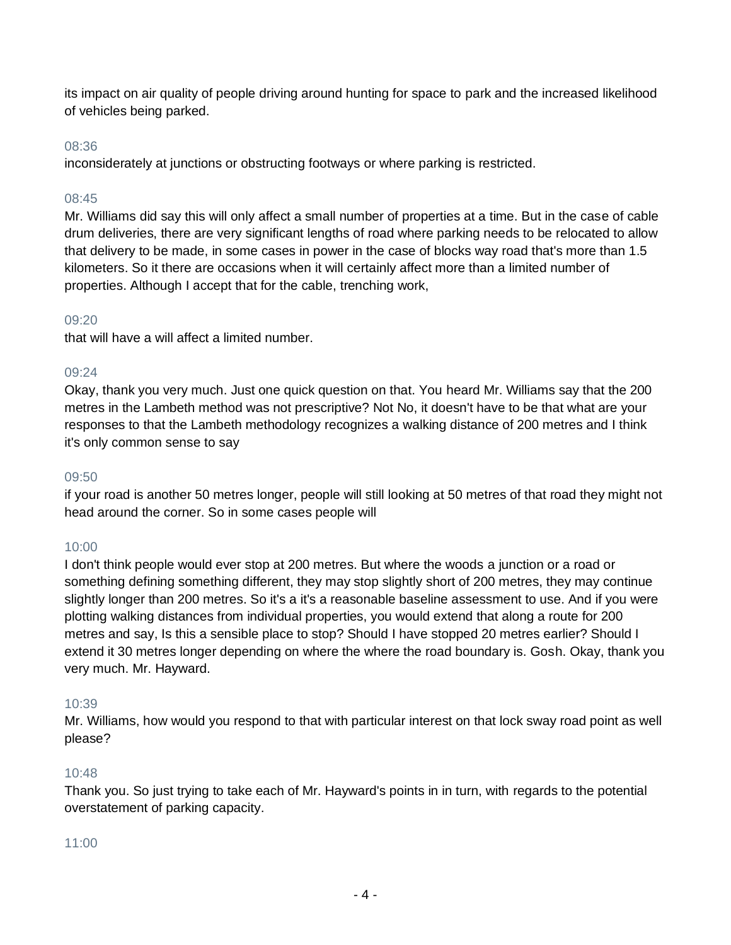its impact on air quality of people driving around hunting for space to park and the increased likelihood of vehicles being parked.

### 08:36

inconsiderately at junctions or obstructing footways or where parking is restricted.

### 08:45

Mr. Williams did say this will only affect a small number of properties at a time. But in the case of cable drum deliveries, there are very significant lengths of road where parking needs to be relocated to allow that delivery to be made, in some cases in power in the case of blocks way road that's more than 1.5 kilometers. So it there are occasions when it will certainly affect more than a limited number of properties. Although I accept that for the cable, trenching work,

### 09:20

that will have a will affect a limited number.

#### 09:24

Okay, thank you very much. Just one quick question on that. You heard Mr. Williams say that the 200 metres in the Lambeth method was not prescriptive? Not No, it doesn't have to be that what are your responses to that the Lambeth methodology recognizes a walking distance of 200 metres and I think it's only common sense to say

#### 09:50

if your road is another 50 metres longer, people will still looking at 50 metres of that road they might not head around the corner. So in some cases people will

### 10:00

I don't think people would ever stop at 200 metres. But where the woods a junction or a road or something defining something different, they may stop slightly short of 200 metres, they may continue slightly longer than 200 metres. So it's a it's a reasonable baseline assessment to use. And if you were plotting walking distances from individual properties, you would extend that along a route for 200 metres and say, Is this a sensible place to stop? Should I have stopped 20 metres earlier? Should I extend it 30 metres longer depending on where the where the road boundary is. Gosh. Okay, thank you very much. Mr. Hayward.

### 10:39

Mr. Williams, how would you respond to that with particular interest on that lock sway road point as well please?

### 10:48

Thank you. So just trying to take each of Mr. Hayward's points in in turn, with regards to the potential overstatement of parking capacity.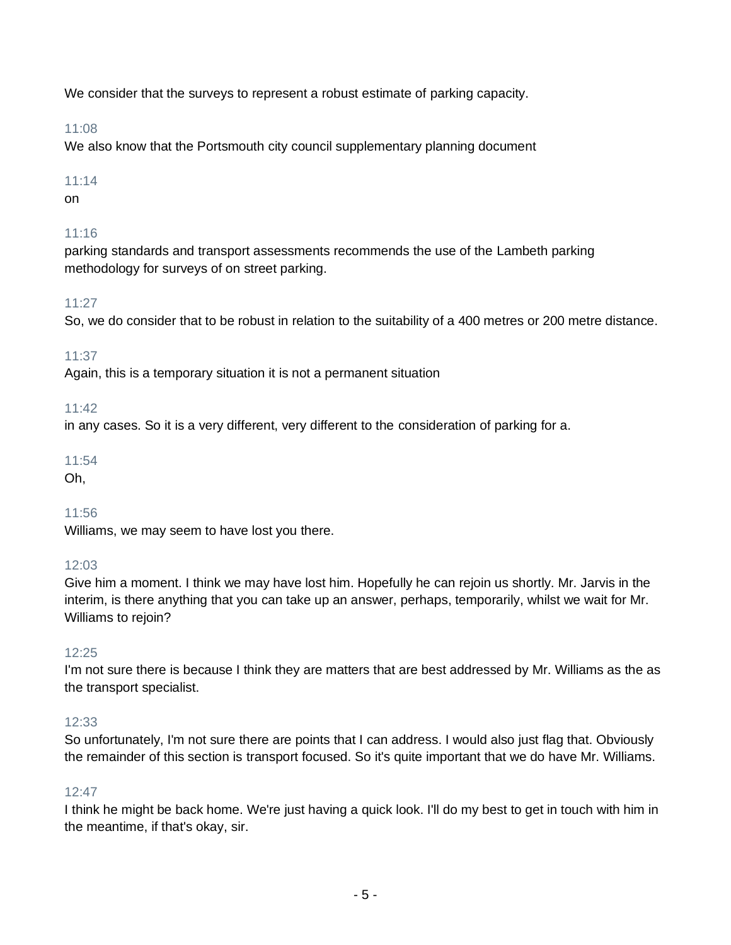We consider that the surveys to represent a robust estimate of parking capacity.

# 11:08

We also know that the Portsmouth city council supplementary planning document

# 11:14

on

# 11:16

parking standards and transport assessments recommends the use of the Lambeth parking methodology for surveys of on street parking.

# 11:27

So, we do consider that to be robust in relation to the suitability of a 400 metres or 200 metre distance.

# 11:37

Again, this is a temporary situation it is not a permanent situation

# 11:42

in any cases. So it is a very different, very different to the consideration of parking for a.

# 11:54

Oh,

# 11:56

Williams, we may seem to have lost you there.

# 12:03

Give him a moment. I think we may have lost him. Hopefully he can rejoin us shortly. Mr. Jarvis in the interim, is there anything that you can take up an answer, perhaps, temporarily, whilst we wait for Mr. Williams to rejoin?

# $12:25$

I'm not sure there is because I think they are matters that are best addressed by Mr. Williams as the as the transport specialist.

# 12:33

So unfortunately, I'm not sure there are points that I can address. I would also just flag that. Obviously the remainder of this section is transport focused. So it's quite important that we do have Mr. Williams.

# $12.47$

I think he might be back home. We're just having a quick look. I'll do my best to get in touch with him in the meantime, if that's okay, sir.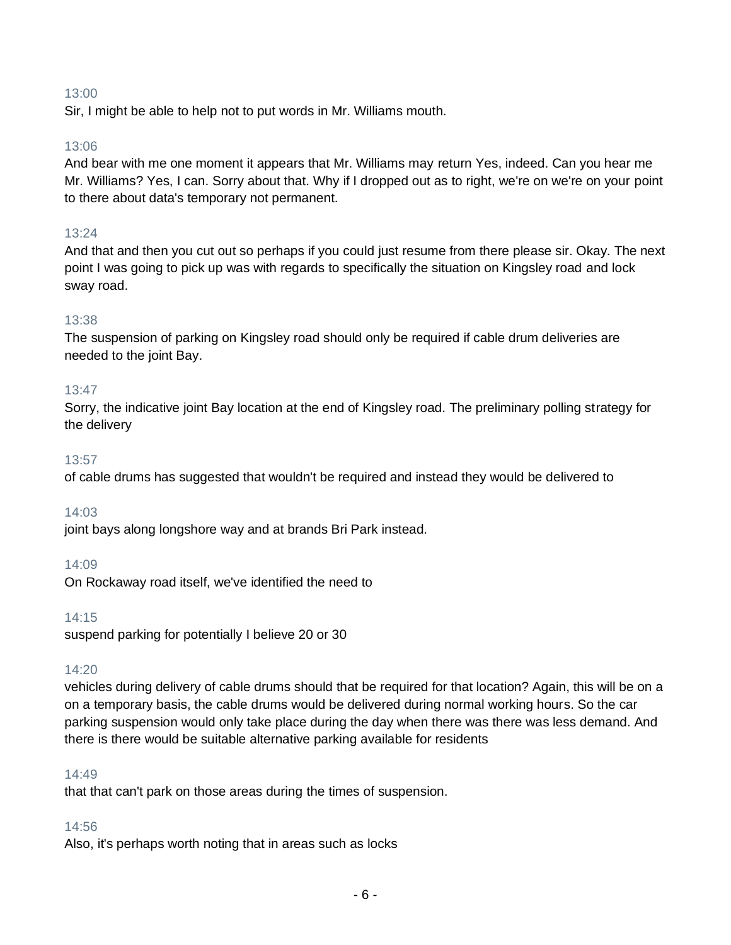Sir, I might be able to help not to put words in Mr. Williams mouth.

### 13:06

And bear with me one moment it appears that Mr. Williams may return Yes, indeed. Can you hear me Mr. Williams? Yes, I can. Sorry about that. Why if I dropped out as to right, we're on we're on your point to there about data's temporary not permanent.

### 13:24

And that and then you cut out so perhaps if you could just resume from there please sir. Okay. The next point I was going to pick up was with regards to specifically the situation on Kingsley road and lock sway road.

#### 13:38

The suspension of parking on Kingsley road should only be required if cable drum deliveries are needed to the joint Bay.

#### 13:47

Sorry, the indicative joint Bay location at the end of Kingsley road. The preliminary polling strategy for the delivery

#### 13:57

of cable drums has suggested that wouldn't be required and instead they would be delivered to

### 14:03

joint bays along longshore way and at brands Bri Park instead.

### 14:09

On Rockaway road itself, we've identified the need to

#### 14:15

suspend parking for potentially I believe 20 or 30

### 14:20

vehicles during delivery of cable drums should that be required for that location? Again, this will be on a on a temporary basis, the cable drums would be delivered during normal working hours. So the car parking suspension would only take place during the day when there was there was less demand. And there is there would be suitable alternative parking available for residents

#### 14:49

that that can't park on those areas during the times of suspension.

### 14:56

Also, it's perhaps worth noting that in areas such as locks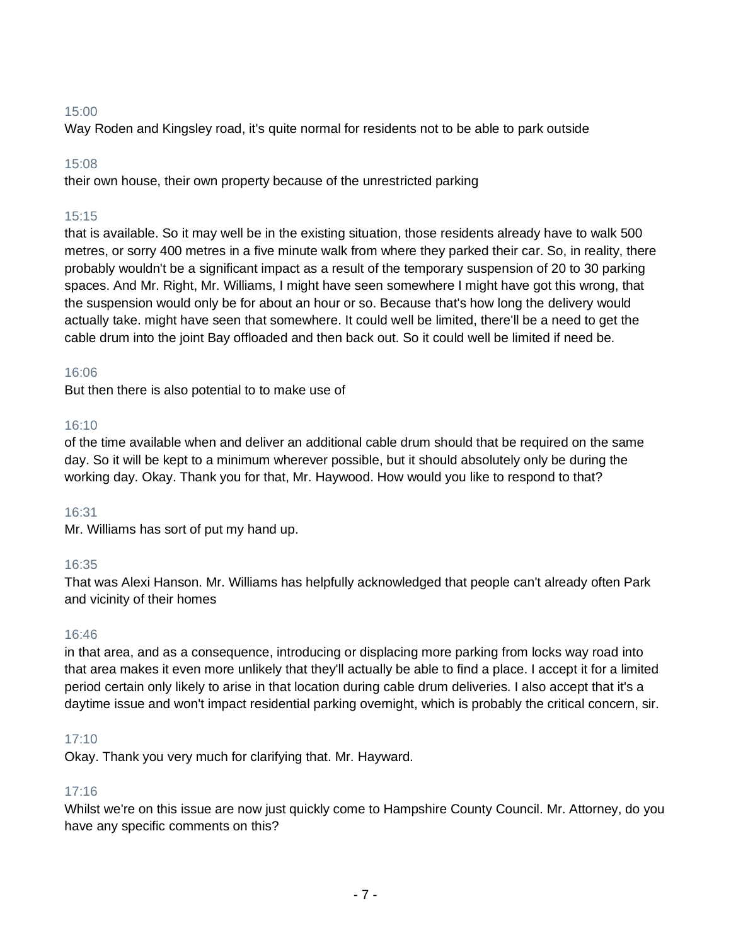Way Roden and Kingsley road, it's quite normal for residents not to be able to park outside

### 15:08

their own house, their own property because of the unrestricted parking

# 15:15

that is available. So it may well be in the existing situation, those residents already have to walk 500 metres, or sorry 400 metres in a five minute walk from where they parked their car. So, in reality, there probably wouldn't be a significant impact as a result of the temporary suspension of 20 to 30 parking spaces. And Mr. Right, Mr. Williams, I might have seen somewhere I might have got this wrong, that the suspension would only be for about an hour or so. Because that's how long the delivery would actually take. might have seen that somewhere. It could well be limited, there'll be a need to get the cable drum into the joint Bay offloaded and then back out. So it could well be limited if need be.

### 16:06

But then there is also potential to to make use of

### 16:10

of the time available when and deliver an additional cable drum should that be required on the same day. So it will be kept to a minimum wherever possible, but it should absolutely only be during the working day. Okay. Thank you for that, Mr. Haywood. How would you like to respond to that?

### 16:31

Mr. Williams has sort of put my hand up.

### 16:35

That was Alexi Hanson. Mr. Williams has helpfully acknowledged that people can't already often Park and vicinity of their homes

### 16:46

in that area, and as a consequence, introducing or displacing more parking from locks way road into that area makes it even more unlikely that they'll actually be able to find a place. I accept it for a limited period certain only likely to arise in that location during cable drum deliveries. I also accept that it's a daytime issue and won't impact residential parking overnight, which is probably the critical concern, sir.

# 17:10

Okay. Thank you very much for clarifying that. Mr. Hayward.

### 17:16

Whilst we're on this issue are now just quickly come to Hampshire County Council. Mr. Attorney, do you have any specific comments on this?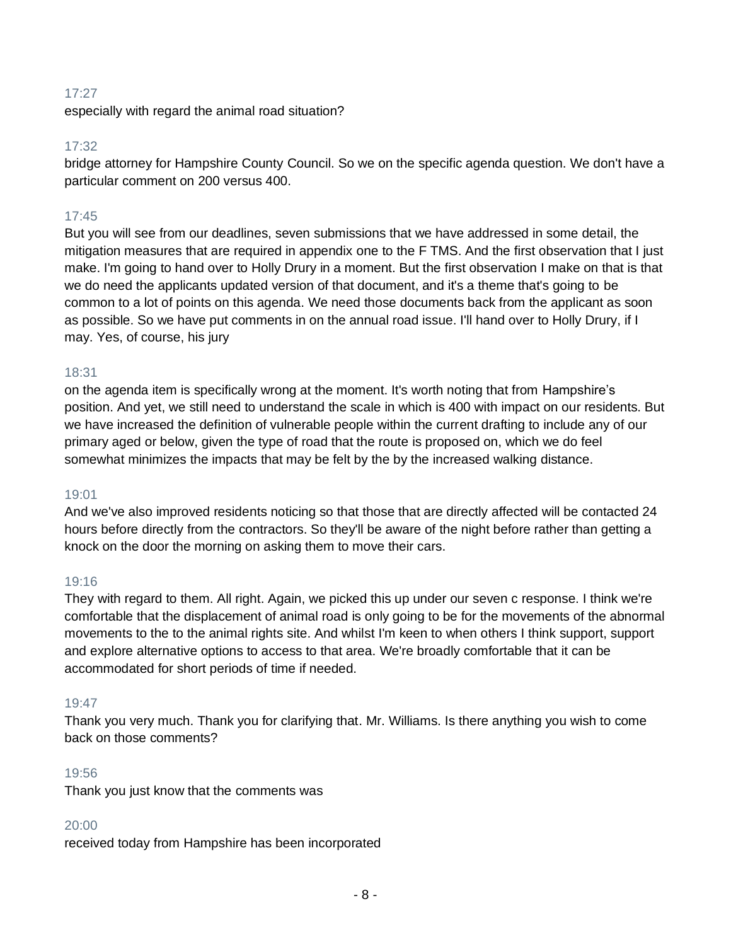especially with regard the animal road situation?

### 17:32

bridge attorney for Hampshire County Council. So we on the specific agenda question. We don't have a particular comment on 200 versus 400.

# 17:45

But you will see from our deadlines, seven submissions that we have addressed in some detail, the mitigation measures that are required in appendix one to the F TMS. And the first observation that I just make. I'm going to hand over to Holly Drury in a moment. But the first observation I make on that is that we do need the applicants updated version of that document, and it's a theme that's going to be common to a lot of points on this agenda. We need those documents back from the applicant as soon as possible. So we have put comments in on the annual road issue. I'll hand over to Holly Drury, if I may. Yes, of course, his jury

#### 18:31

on the agenda item is specifically wrong at the moment. It's worth noting that from Hampshire's position. And yet, we still need to understand the scale in which is 400 with impact on our residents. But we have increased the definition of vulnerable people within the current drafting to include any of our primary aged or below, given the type of road that the route is proposed on, which we do feel somewhat minimizes the impacts that may be felt by the by the increased walking distance.

#### 19:01

And we've also improved residents noticing so that those that are directly affected will be contacted 24 hours before directly from the contractors. So they'll be aware of the night before rather than getting a knock on the door the morning on asking them to move their cars.

### 19:16

They with regard to them. All right. Again, we picked this up under our seven c response. I think we're comfortable that the displacement of animal road is only going to be for the movements of the abnormal movements to the to the animal rights site. And whilst I'm keen to when others I think support, support and explore alternative options to access to that area. We're broadly comfortable that it can be accommodated for short periods of time if needed.

#### 19:47

Thank you very much. Thank you for clarifying that. Mr. Williams. Is there anything you wish to come back on those comments?

#### 19:56

Thank you just know that the comments was

### 20:00

received today from Hampshire has been incorporated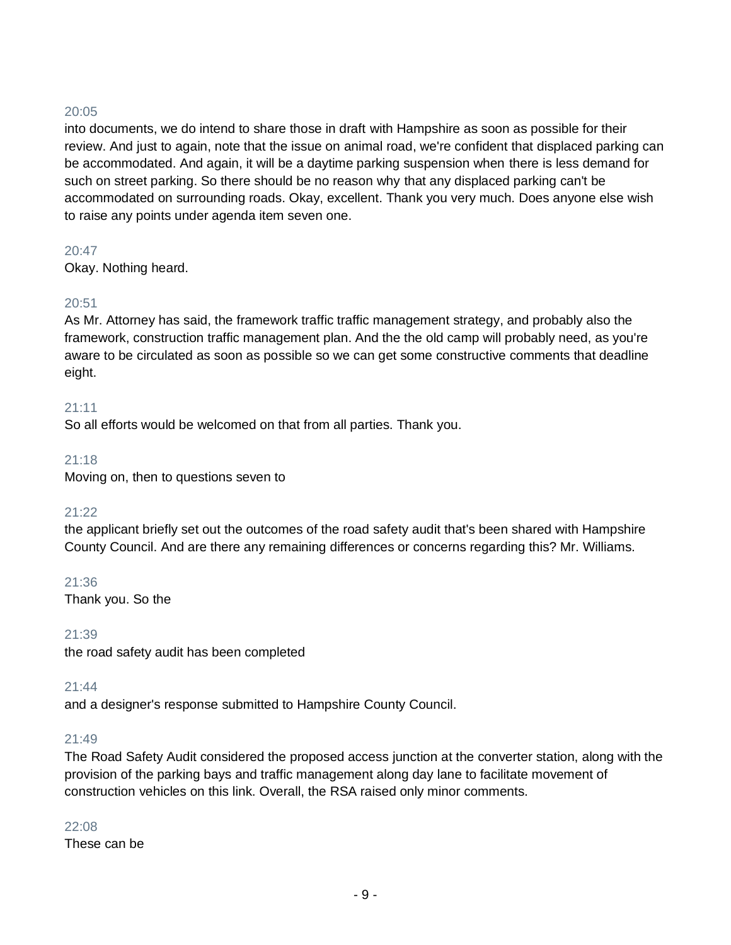into documents, we do intend to share those in draft with Hampshire as soon as possible for their review. And just to again, note that the issue on animal road, we're confident that displaced parking can be accommodated. And again, it will be a daytime parking suspension when there is less demand for such on street parking. So there should be no reason why that any displaced parking can't be accommodated on surrounding roads. Okay, excellent. Thank you very much. Does anyone else wish to raise any points under agenda item seven one.

### 20:47

Okay. Nothing heard.

# 20:51

As Mr. Attorney has said, the framework traffic traffic management strategy, and probably also the framework, construction traffic management plan. And the the old camp will probably need, as you're aware to be circulated as soon as possible so we can get some constructive comments that deadline eight.

### 21:11

So all efforts would be welcomed on that from all parties. Thank you.

### 21:18

Moving on, then to questions seven to

# 21:22

the applicant briefly set out the outcomes of the road safety audit that's been shared with Hampshire County Council. And are there any remaining differences or concerns regarding this? Mr. Williams.

21:36 Thank you. So the

### 21:39

the road safety audit has been completed

### 21:44

and a designer's response submitted to Hampshire County Council.

### 21:49

The Road Safety Audit considered the proposed access junction at the converter station, along with the provision of the parking bays and traffic management along day lane to facilitate movement of construction vehicles on this link. Overall, the RSA raised only minor comments.

### $22.08$

These can be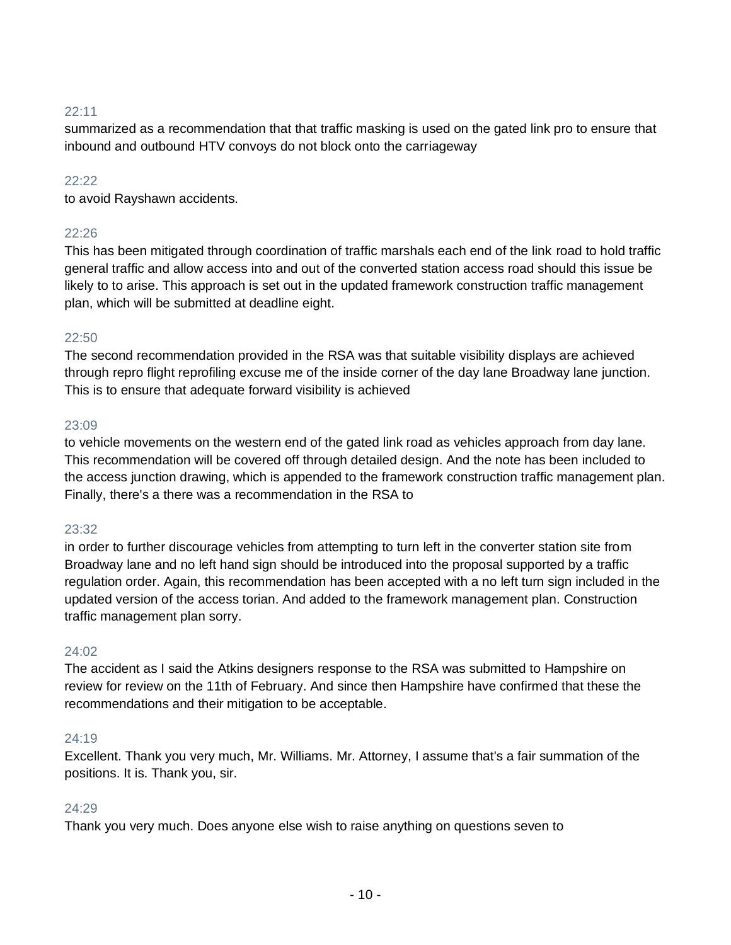summarized as a recommendation that that traffic masking is used on the gated link pro to ensure that inbound and outbound HTV convoys do not block onto the carriageway

### $22.22$

to avoid Rayshawn accidents.

### 22:26

This has been mitigated through coordination of traffic marshals each end of the link road to hold traffic general traffic and allow access into and out of the converted station access road should this issue be likely to to arise. This approach is set out in the updated framework construction traffic management plan, which will be submitted at deadline eight.

#### $22:50$

The second recommendation provided in the RSA was that suitable visibility displays are achieved through repro flight reprofiling excuse me of the inside corner of the day lane Broadway lane junction. This is to ensure that adequate forward visibility is achieved

#### 23:09

to vehicle movements on the western end of the gated link road as vehicles approach from day lane. This recommendation will be covered off through detailed design. And the note has been included to the access junction drawing, which is appended to the framework construction traffic management plan. Finally, there's a there was a recommendation in the RSA to

#### 23:32

in order to further discourage vehicles from attempting to turn left in the converter station site from Broadway lane and no left hand sign should be introduced into the proposal supported by a traffic regulation order. Again, this recommendation has been accepted with a no left turn sign included in the updated version of the access torian. And added to the framework management plan. Construction traffic management plan sorry.

#### 24:02

The accident as I said the Atkins designers response to the RSA was submitted to Hampshire on review for review on the 11th of February. And since then Hampshire have confirmed that these the recommendations and their mitigation to be acceptable.

#### 24:19

Excellent. Thank you very much, Mr. Williams. Mr. Attorney, I assume that's a fair summation of the positions. It is. Thank you, sir.

#### 24:29

Thank you very much. Does anyone else wish to raise anything on questions seven to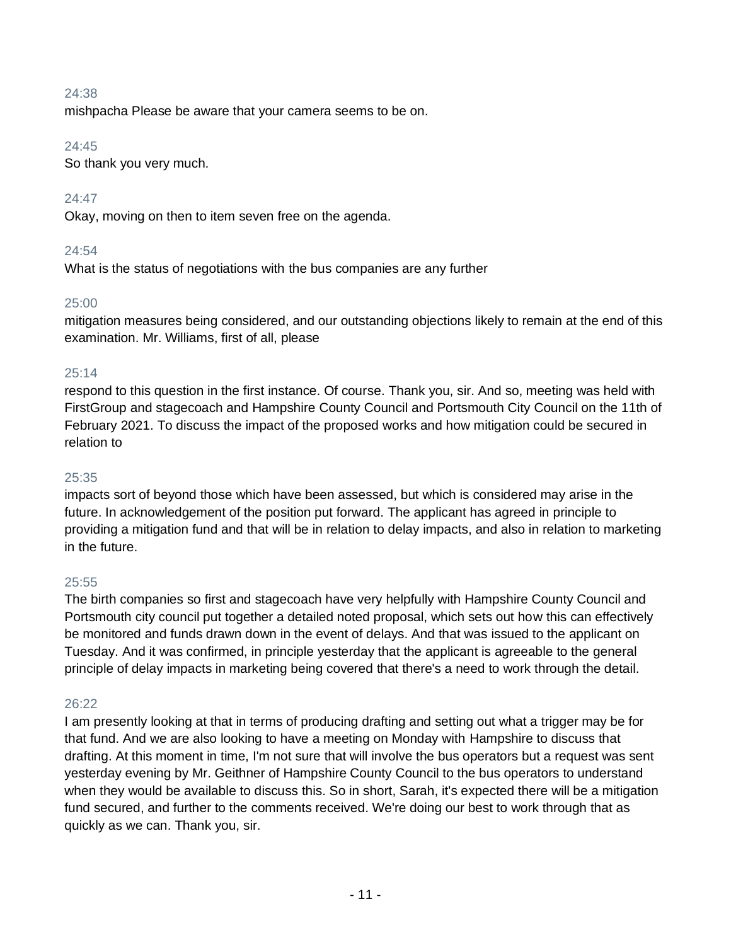mishpacha Please be aware that your camera seems to be on.

### $24:45$

So thank you very much.

# 24:47

Okay, moving on then to item seven free on the agenda.

### 24:54

What is the status of negotiations with the bus companies are any further

### 25:00

mitigation measures being considered, and our outstanding objections likely to remain at the end of this examination. Mr. Williams, first of all, please

### 25:14

respond to this question in the first instance. Of course. Thank you, sir. And so, meeting was held with FirstGroup and stagecoach and Hampshire County Council and Portsmouth City Council on the 11th of February 2021. To discuss the impact of the proposed works and how mitigation could be secured in relation to

### 25:35

impacts sort of beyond those which have been assessed, but which is considered may arise in the future. In acknowledgement of the position put forward. The applicant has agreed in principle to providing a mitigation fund and that will be in relation to delay impacts, and also in relation to marketing in the future.

### 25:55

The birth companies so first and stagecoach have very helpfully with Hampshire County Council and Portsmouth city council put together a detailed noted proposal, which sets out how this can effectively be monitored and funds drawn down in the event of delays. And that was issued to the applicant on Tuesday. And it was confirmed, in principle yesterday that the applicant is agreeable to the general principle of delay impacts in marketing being covered that there's a need to work through the detail.

### 26:22

I am presently looking at that in terms of producing drafting and setting out what a trigger may be for that fund. And we are also looking to have a meeting on Monday with Hampshire to discuss that drafting. At this moment in time, I'm not sure that will involve the bus operators but a request was sent yesterday evening by Mr. Geithner of Hampshire County Council to the bus operators to understand when they would be available to discuss this. So in short, Sarah, it's expected there will be a mitigation fund secured, and further to the comments received. We're doing our best to work through that as quickly as we can. Thank you, sir.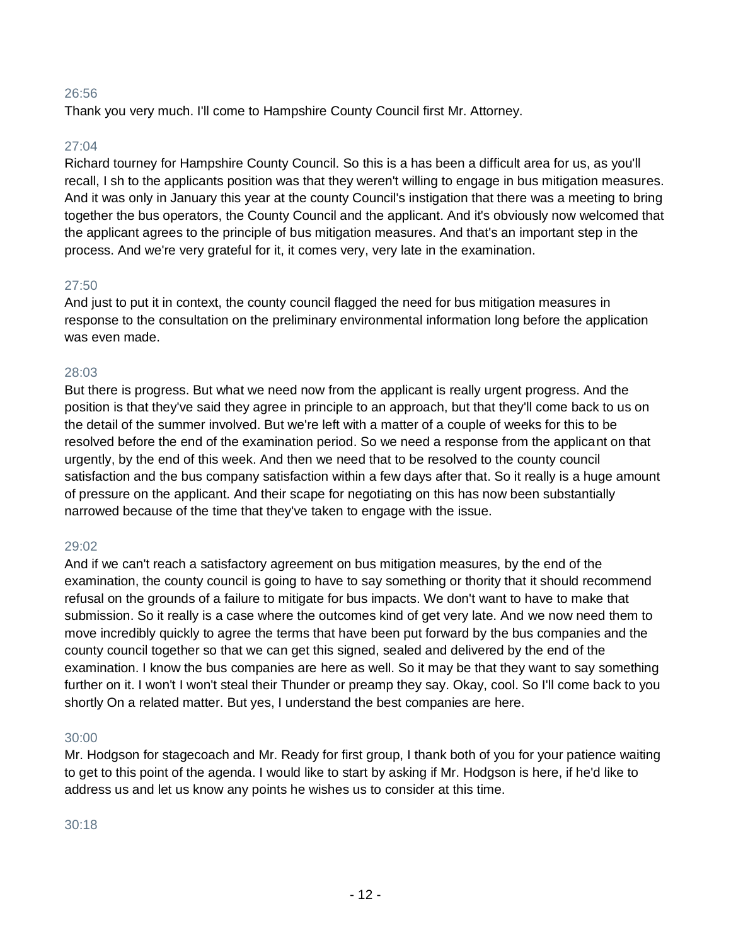Thank you very much. I'll come to Hampshire County Council first Mr. Attorney.

### 27:04

Richard tourney for Hampshire County Council. So this is a has been a difficult area for us, as you'll recall, I sh to the applicants position was that they weren't willing to engage in bus mitigation measures. And it was only in January this year at the county Council's instigation that there was a meeting to bring together the bus operators, the County Council and the applicant. And it's obviously now welcomed that the applicant agrees to the principle of bus mitigation measures. And that's an important step in the process. And we're very grateful for it, it comes very, very late in the examination.

### 27:50

And just to put it in context, the county council flagged the need for bus mitigation measures in response to the consultation on the preliminary environmental information long before the application was even made.

### 28:03

But there is progress. But what we need now from the applicant is really urgent progress. And the position is that they've said they agree in principle to an approach, but that they'll come back to us on the detail of the summer involved. But we're left with a matter of a couple of weeks for this to be resolved before the end of the examination period. So we need a response from the applicant on that urgently, by the end of this week. And then we need that to be resolved to the county council satisfaction and the bus company satisfaction within a few days after that. So it really is a huge amount of pressure on the applicant. And their scape for negotiating on this has now been substantially narrowed because of the time that they've taken to engage with the issue.

### 29:02

And if we can't reach a satisfactory agreement on bus mitigation measures, by the end of the examination, the county council is going to have to say something or thority that it should recommend refusal on the grounds of a failure to mitigate for bus impacts. We don't want to have to make that submission. So it really is a case where the outcomes kind of get very late. And we now need them to move incredibly quickly to agree the terms that have been put forward by the bus companies and the county council together so that we can get this signed, sealed and delivered by the end of the examination. I know the bus companies are here as well. So it may be that they want to say something further on it. I won't I won't steal their Thunder or preamp they say. Okay, cool. So I'll come back to you shortly On a related matter. But yes, I understand the best companies are here.

### 30:00

Mr. Hodgson for stagecoach and Mr. Ready for first group, I thank both of you for your patience waiting to get to this point of the agenda. I would like to start by asking if Mr. Hodgson is here, if he'd like to address us and let us know any points he wishes us to consider at this time.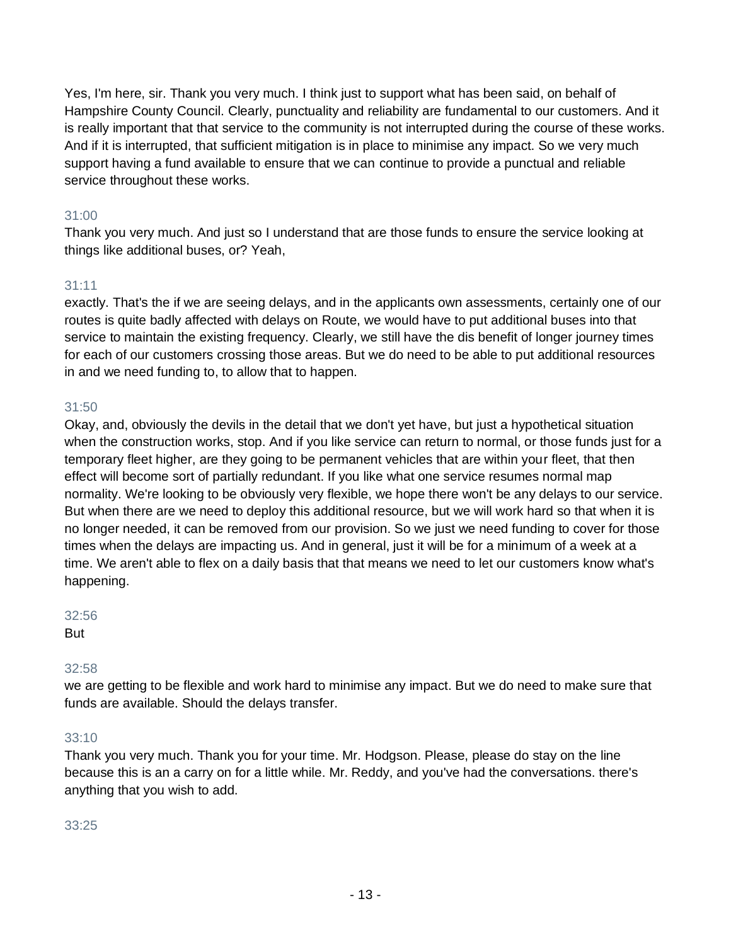Yes, I'm here, sir. Thank you very much. I think just to support what has been said, on behalf of Hampshire County Council. Clearly, punctuality and reliability are fundamental to our customers. And it is really important that that service to the community is not interrupted during the course of these works. And if it is interrupted, that sufficient mitigation is in place to minimise any impact. So we very much support having a fund available to ensure that we can continue to provide a punctual and reliable service throughout these works.

# 31:00

Thank you very much. And just so I understand that are those funds to ensure the service looking at things like additional buses, or? Yeah,

# 31:11

exactly. That's the if we are seeing delays, and in the applicants own assessments, certainly one of our routes is quite badly affected with delays on Route, we would have to put additional buses into that service to maintain the existing frequency. Clearly, we still have the dis benefit of longer journey times for each of our customers crossing those areas. But we do need to be able to put additional resources in and we need funding to, to allow that to happen.

### 31:50

Okay, and, obviously the devils in the detail that we don't yet have, but just a hypothetical situation when the construction works, stop. And if you like service can return to normal, or those funds just for a temporary fleet higher, are they going to be permanent vehicles that are within your fleet, that then effect will become sort of partially redundant. If you like what one service resumes normal map normality. We're looking to be obviously very flexible, we hope there won't be any delays to our service. But when there are we need to deploy this additional resource, but we will work hard so that when it is no longer needed, it can be removed from our provision. So we just we need funding to cover for those times when the delays are impacting us. And in general, just it will be for a minimum of a week at a time. We aren't able to flex on a daily basis that that means we need to let our customers know what's happening.

### 32:56

But

# 32:58

we are getting to be flexible and work hard to minimise any impact. But we do need to make sure that funds are available. Should the delays transfer.

### 33:10

Thank you very much. Thank you for your time. Mr. Hodgson. Please, please do stay on the line because this is an a carry on for a little while. Mr. Reddy, and you've had the conversations. there's anything that you wish to add.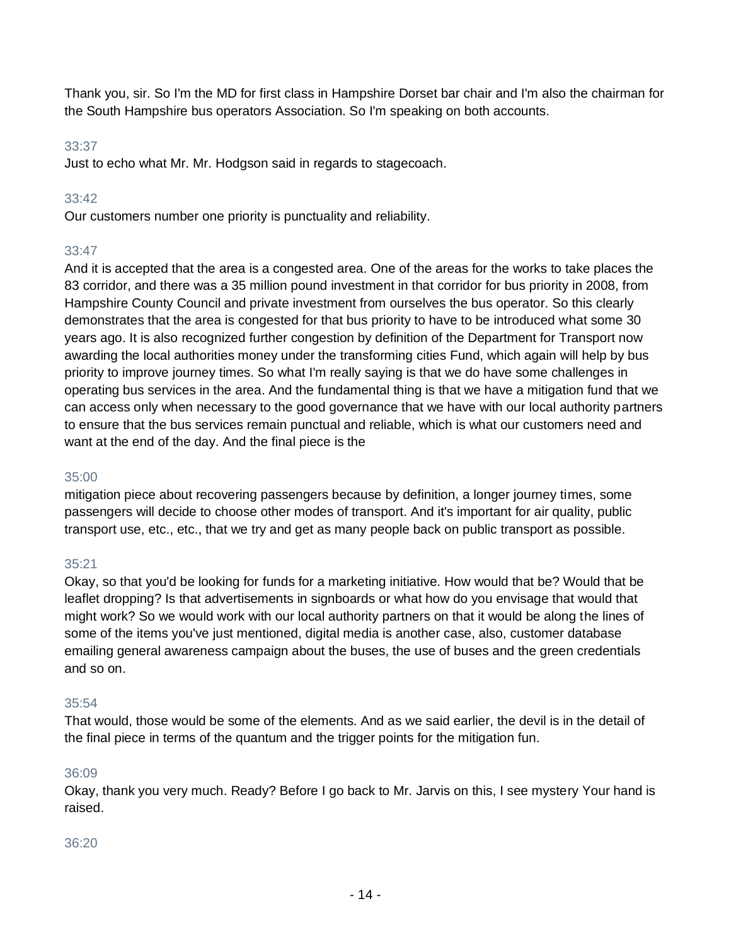Thank you, sir. So I'm the MD for first class in Hampshire Dorset bar chair and I'm also the chairman for the South Hampshire bus operators Association. So I'm speaking on both accounts.

### 33:37

Just to echo what Mr. Mr. Hodgson said in regards to stagecoach.

# 33:42

Our customers number one priority is punctuality and reliability.

# 33:47

And it is accepted that the area is a congested area. One of the areas for the works to take places the 83 corridor, and there was a 35 million pound investment in that corridor for bus priority in 2008, from Hampshire County Council and private investment from ourselves the bus operator. So this clearly demonstrates that the area is congested for that bus priority to have to be introduced what some 30 years ago. It is also recognized further congestion by definition of the Department for Transport now awarding the local authorities money under the transforming cities Fund, which again will help by bus priority to improve journey times. So what I'm really saying is that we do have some challenges in operating bus services in the area. And the fundamental thing is that we have a mitigation fund that we can access only when necessary to the good governance that we have with our local authority partners to ensure that the bus services remain punctual and reliable, which is what our customers need and want at the end of the day. And the final piece is the

# 35:00

mitigation piece about recovering passengers because by definition, a longer journey times, some passengers will decide to choose other modes of transport. And it's important for air quality, public transport use, etc., etc., that we try and get as many people back on public transport as possible.

# 35:21

Okay, so that you'd be looking for funds for a marketing initiative. How would that be? Would that be leaflet dropping? Is that advertisements in signboards or what how do you envisage that would that might work? So we would work with our local authority partners on that it would be along the lines of some of the items you've just mentioned, digital media is another case, also, customer database emailing general awareness campaign about the buses, the use of buses and the green credentials and so on.

# 35:54

That would, those would be some of the elements. And as we said earlier, the devil is in the detail of the final piece in terms of the quantum and the trigger points for the mitigation fun.

# 36:09

Okay, thank you very much. Ready? Before I go back to Mr. Jarvis on this, I see mystery Your hand is raised.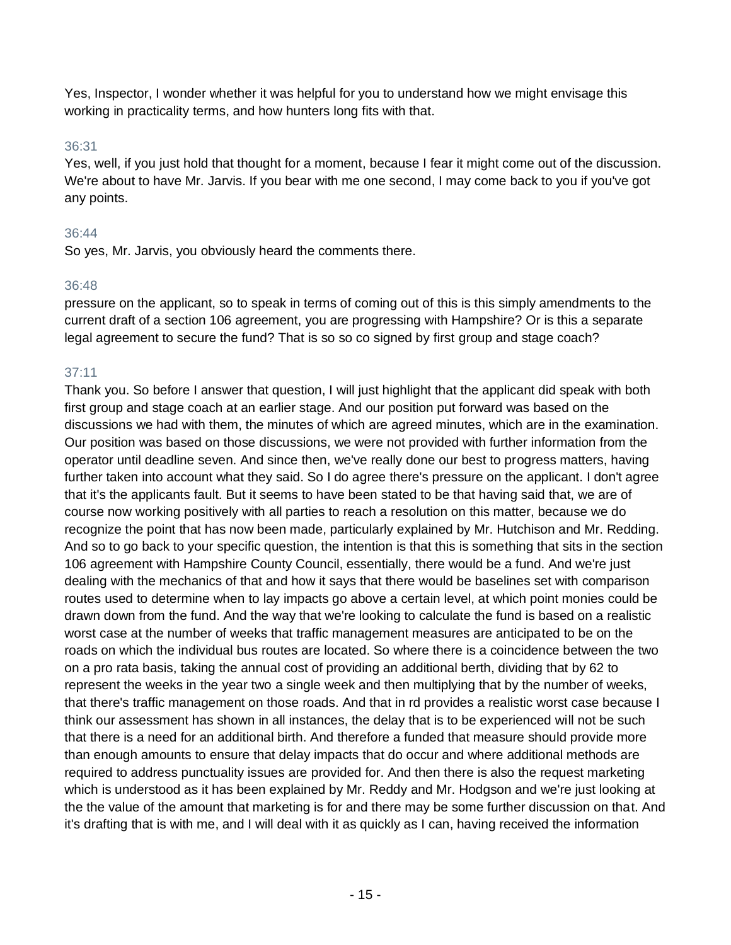Yes, Inspector, I wonder whether it was helpful for you to understand how we might envisage this working in practicality terms, and how hunters long fits with that.

### 36:31

Yes, well, if you just hold that thought for a moment, because I fear it might come out of the discussion. We're about to have Mr. Jarvis. If you bear with me one second, I may come back to you if you've got any points.

# 36:44

So yes, Mr. Jarvis, you obviously heard the comments there.

### 36:48

pressure on the applicant, so to speak in terms of coming out of this is this simply amendments to the current draft of a section 106 agreement, you are progressing with Hampshire? Or is this a separate legal agreement to secure the fund? That is so so co signed by first group and stage coach?

# 37:11

Thank you. So before I answer that question, I will just highlight that the applicant did speak with both first group and stage coach at an earlier stage. And our position put forward was based on the discussions we had with them, the minutes of which are agreed minutes, which are in the examination. Our position was based on those discussions, we were not provided with further information from the operator until deadline seven. And since then, we've really done our best to progress matters, having further taken into account what they said. So I do agree there's pressure on the applicant. I don't agree that it's the applicants fault. But it seems to have been stated to be that having said that, we are of course now working positively with all parties to reach a resolution on this matter, because we do recognize the point that has now been made, particularly explained by Mr. Hutchison and Mr. Redding. And so to go back to your specific question, the intention is that this is something that sits in the section 106 agreement with Hampshire County Council, essentially, there would be a fund. And we're just dealing with the mechanics of that and how it says that there would be baselines set with comparison routes used to determine when to lay impacts go above a certain level, at which point monies could be drawn down from the fund. And the way that we're looking to calculate the fund is based on a realistic worst case at the number of weeks that traffic management measures are anticipated to be on the roads on which the individual bus routes are located. So where there is a coincidence between the two on a pro rata basis, taking the annual cost of providing an additional berth, dividing that by 62 to represent the weeks in the year two a single week and then multiplying that by the number of weeks, that there's traffic management on those roads. And that in rd provides a realistic worst case because I think our assessment has shown in all instances, the delay that is to be experienced will not be such that there is a need for an additional birth. And therefore a funded that measure should provide more than enough amounts to ensure that delay impacts that do occur and where additional methods are required to address punctuality issues are provided for. And then there is also the request marketing which is understood as it has been explained by Mr. Reddy and Mr. Hodgson and we're just looking at the the value of the amount that marketing is for and there may be some further discussion on that. And it's drafting that is with me, and I will deal with it as quickly as I can, having received the information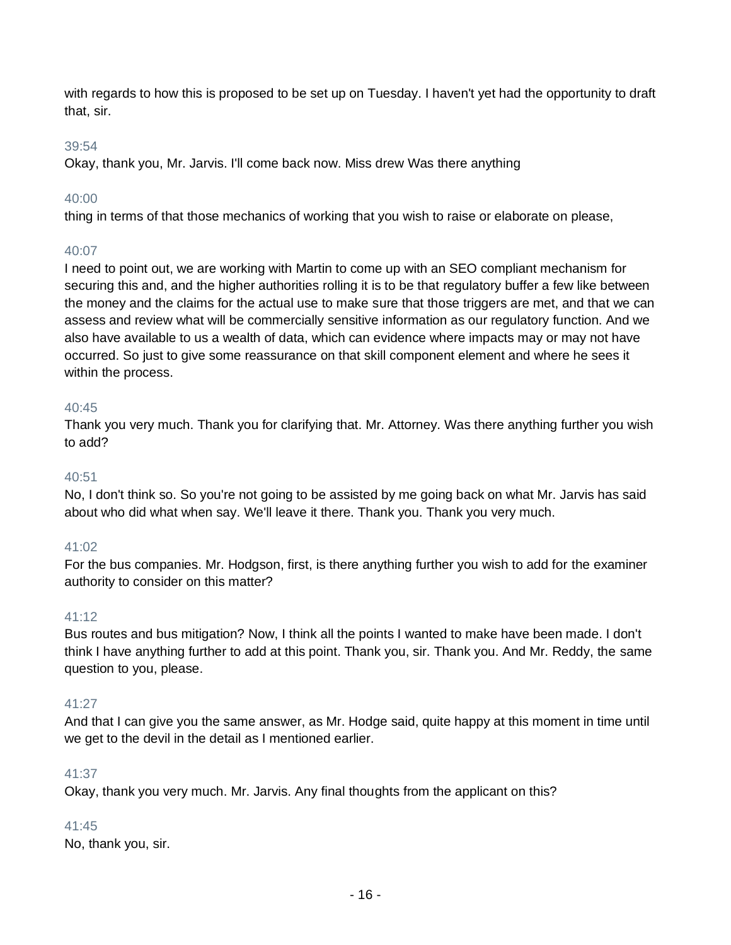with regards to how this is proposed to be set up on Tuesday. I haven't yet had the opportunity to draft that, sir.

### 39:54

Okay, thank you, Mr. Jarvis. I'll come back now. Miss drew Was there anything

### 40:00

thing in terms of that those mechanics of working that you wish to raise or elaborate on please,

### 40:07

I need to point out, we are working with Martin to come up with an SEO compliant mechanism for securing this and, and the higher authorities rolling it is to be that regulatory buffer a few like between the money and the claims for the actual use to make sure that those triggers are met, and that we can assess and review what will be commercially sensitive information as our regulatory function. And we also have available to us a wealth of data, which can evidence where impacts may or may not have occurred. So just to give some reassurance on that skill component element and where he sees it within the process.

### 40:45

Thank you very much. Thank you for clarifying that. Mr. Attorney. Was there anything further you wish to add?

### 40:51

No, I don't think so. So you're not going to be assisted by me going back on what Mr. Jarvis has said about who did what when say. We'll leave it there. Thank you. Thank you very much.

### 41:02

For the bus companies. Mr. Hodgson, first, is there anything further you wish to add for the examiner authority to consider on this matter?

### 41:12

Bus routes and bus mitigation? Now, I think all the points I wanted to make have been made. I don't think I have anything further to add at this point. Thank you, sir. Thank you. And Mr. Reddy, the same question to you, please.

### 41:27

And that I can give you the same answer, as Mr. Hodge said, quite happy at this moment in time until we get to the devil in the detail as I mentioned earlier.

### 41:37

Okay, thank you very much. Mr. Jarvis. Any final thoughts from the applicant on this?

### 41:45

No, thank you, sir.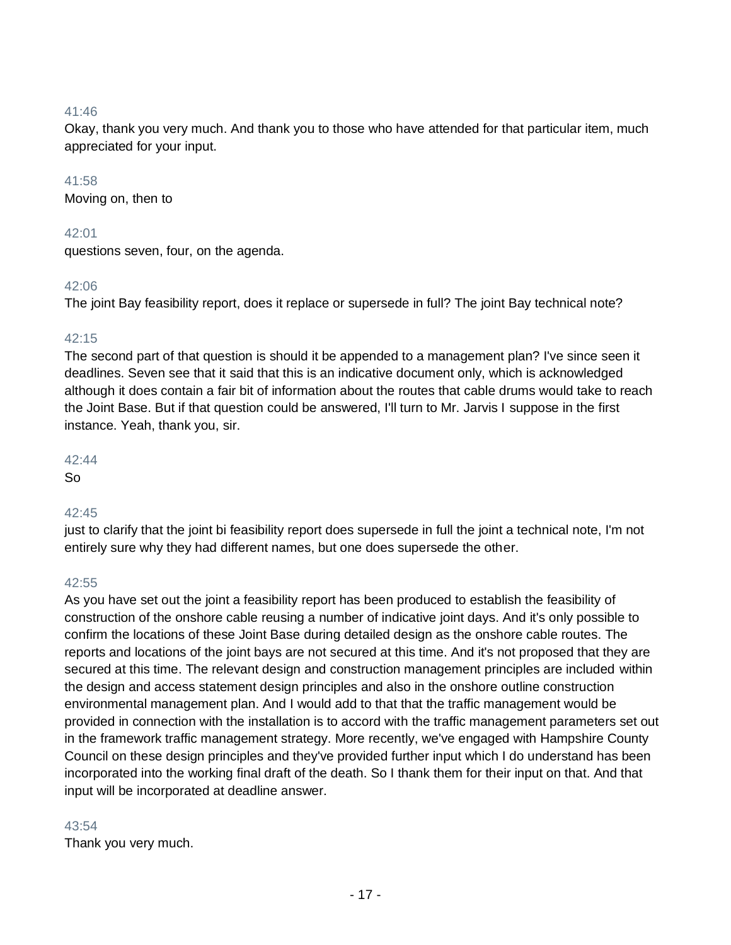Okay, thank you very much. And thank you to those who have attended for that particular item, much appreciated for your input.

### 41:58

Moving on, then to

### 42:01

questions seven, four, on the agenda.

### 42:06

The joint Bay feasibility report, does it replace or supersede in full? The joint Bay technical note?

### 42:15

The second part of that question is should it be appended to a management plan? I've since seen it deadlines. Seven see that it said that this is an indicative document only, which is acknowledged although it does contain a fair bit of information about the routes that cable drums would take to reach the Joint Base. But if that question could be answered, I'll turn to Mr. Jarvis I suppose in the first instance. Yeah, thank you, sir.

### 42:44

So

# 42:45

just to clarify that the joint bi feasibility report does supersede in full the joint a technical note, I'm not entirely sure why they had different names, but one does supersede the other.

### 42:55

As you have set out the joint a feasibility report has been produced to establish the feasibility of construction of the onshore cable reusing a number of indicative joint days. And it's only possible to confirm the locations of these Joint Base during detailed design as the onshore cable routes. The reports and locations of the joint bays are not secured at this time. And it's not proposed that they are secured at this time. The relevant design and construction management principles are included within the design and access statement design principles and also in the onshore outline construction environmental management plan. And I would add to that that the traffic management would be provided in connection with the installation is to accord with the traffic management parameters set out in the framework traffic management strategy. More recently, we've engaged with Hampshire County Council on these design principles and they've provided further input which I do understand has been incorporated into the working final draft of the death. So I thank them for their input on that. And that input will be incorporated at deadline answer.

### 43:54

Thank you very much.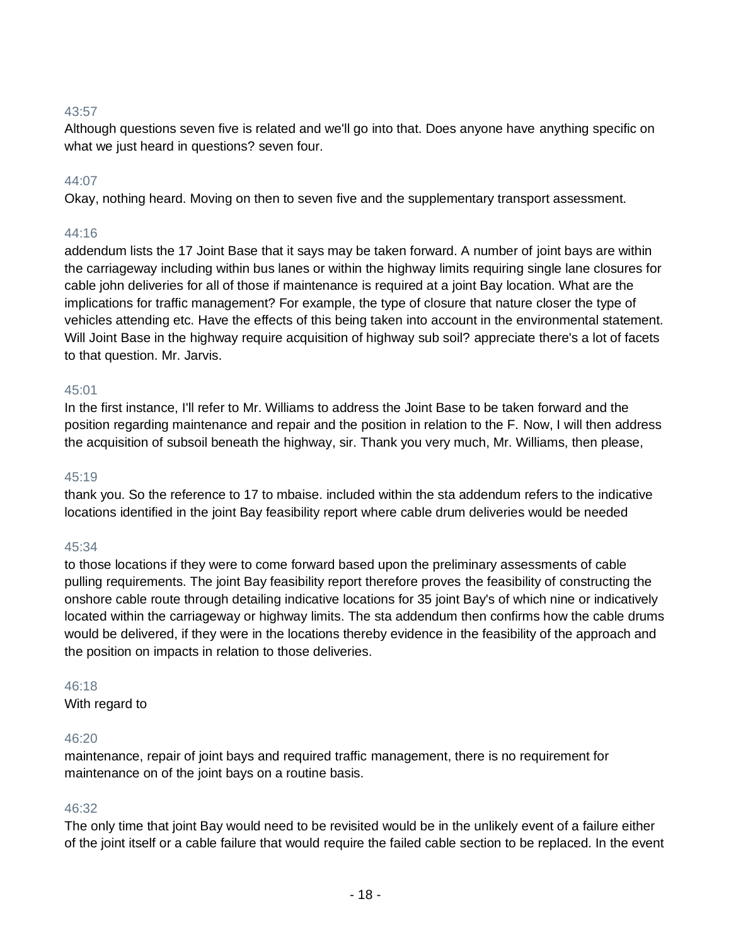Although questions seven five is related and we'll go into that. Does anyone have anything specific on what we just heard in questions? seven four.

### 44:07

Okay, nothing heard. Moving on then to seven five and the supplementary transport assessment.

### 44:16

addendum lists the 17 Joint Base that it says may be taken forward. A number of joint bays are within the carriageway including within bus lanes or within the highway limits requiring single lane closures for cable john deliveries for all of those if maintenance is required at a joint Bay location. What are the implications for traffic management? For example, the type of closure that nature closer the type of vehicles attending etc. Have the effects of this being taken into account in the environmental statement. Will Joint Base in the highway require acquisition of highway sub soil? appreciate there's a lot of facets to that question. Mr. Jarvis.

#### 45:01

In the first instance, I'll refer to Mr. Williams to address the Joint Base to be taken forward and the position regarding maintenance and repair and the position in relation to the F. Now, I will then address the acquisition of subsoil beneath the highway, sir. Thank you very much, Mr. Williams, then please,

#### $45:19$

thank you. So the reference to 17 to mbaise. included within the sta addendum refers to the indicative locations identified in the joint Bay feasibility report where cable drum deliveries would be needed

#### 45:34

to those locations if they were to come forward based upon the preliminary assessments of cable pulling requirements. The joint Bay feasibility report therefore proves the feasibility of constructing the onshore cable route through detailing indicative locations for 35 joint Bay's of which nine or indicatively located within the carriageway or highway limits. The sta addendum then confirms how the cable drums would be delivered, if they were in the locations thereby evidence in the feasibility of the approach and the position on impacts in relation to those deliveries.

#### 46:18

With regard to

#### 46:20

maintenance, repair of joint bays and required traffic management, there is no requirement for maintenance on of the joint bays on a routine basis.

#### 46:32

The only time that joint Bay would need to be revisited would be in the unlikely event of a failure either of the joint itself or a cable failure that would require the failed cable section to be replaced. In the event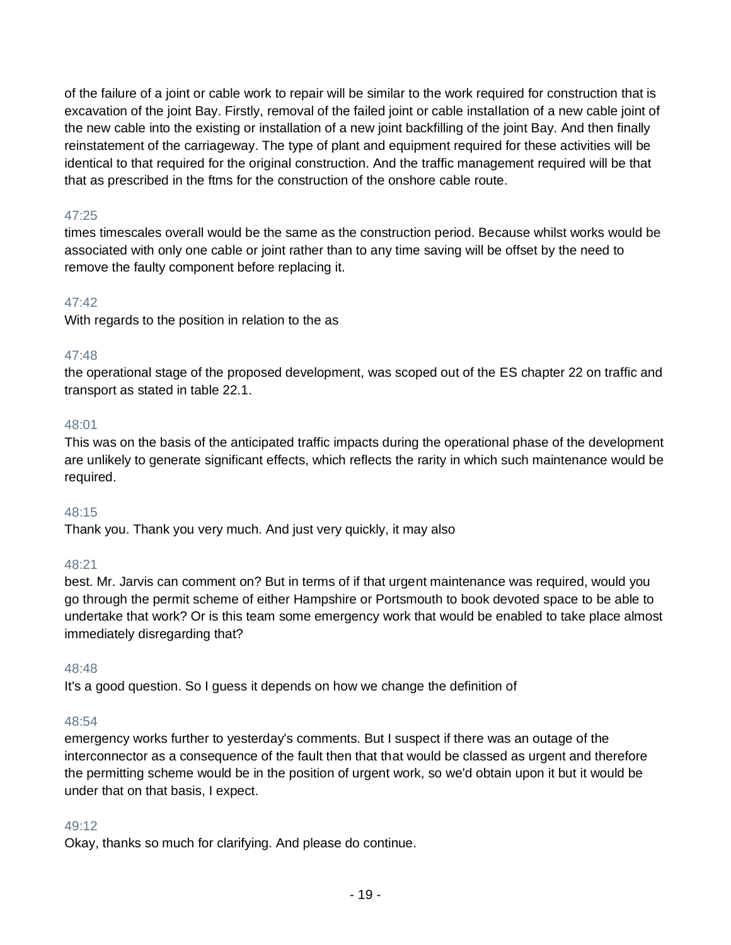of the failure of a joint or cable work to repair will be similar to the work required for construction that is excavation of the joint Bay. Firstly, removal of the failed joint or cable installation of a new cable joint of the new cable into the existing or installation of a new joint backfilling of the joint Bay. And then finally reinstatement of the carriageway. The type of plant and equipment required for these activities will be identical to that required for the original construction. And the traffic management required will be that that as prescribed in the ftms for the construction of the onshore cable route.

# 47:25

times timescales overall would be the same as the construction period. Because whilst works would be associated with only one cable or joint rather than to any time saving will be offset by the need to remove the faulty component before replacing it.

# 47:42

With regards to the position in relation to the as

# 47:48

the operational stage of the proposed development, was scoped out of the ES chapter 22 on traffic and transport as stated in table 22.1.

# 48:01

This was on the basis of the anticipated traffic impacts during the operational phase of the development are unlikely to generate significant effects, which reflects the rarity in which such maintenance would be required.

# 48:15

Thank you. Thank you very much. And just very quickly, it may also

# 48:21

best. Mr. Jarvis can comment on? But in terms of if that urgent maintenance was required, would you go through the permit scheme of either Hampshire or Portsmouth to book devoted space to be able to undertake that work? Or is this team some emergency work that would be enabled to take place almost immediately disregarding that?

# 48:48

It's a good question. So I guess it depends on how we change the definition of

### 48:54

emergency works further to yesterday's comments. But I suspect if there was an outage of the interconnector as a consequence of the fault then that that would be classed as urgent and therefore the permitting scheme would be in the position of urgent work, so we'd obtain upon it but it would be under that on that basis, I expect.

# 49:12

Okay, thanks so much for clarifying. And please do continue.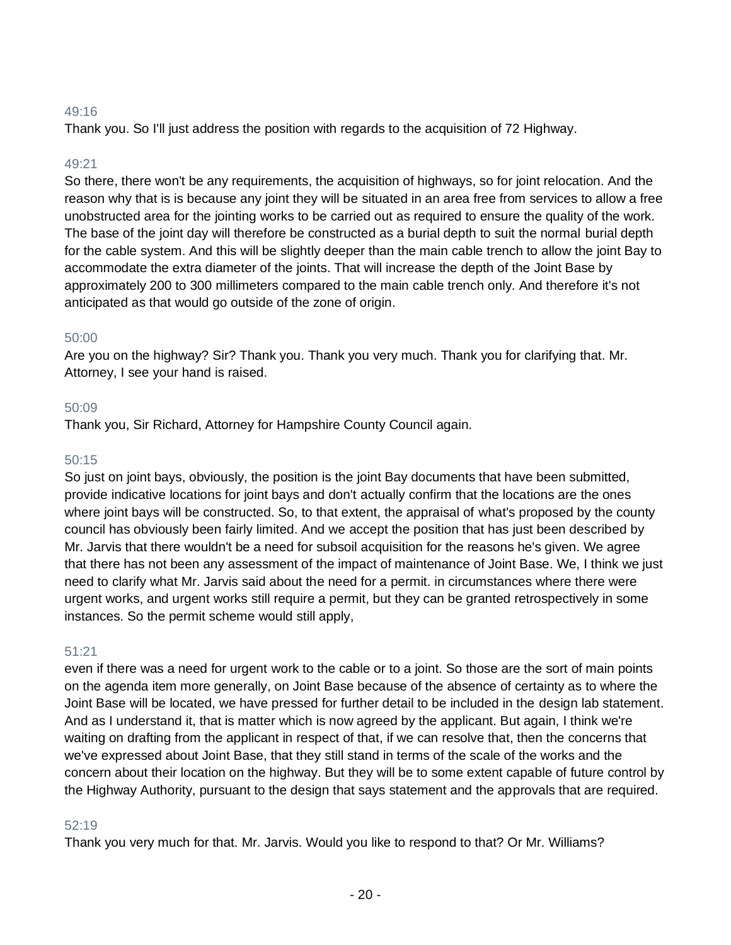Thank you. So I'll just address the position with regards to the acquisition of 72 Highway.

### 49:21

So there, there won't be any requirements, the acquisition of highways, so for joint relocation. And the reason why that is is because any joint they will be situated in an area free from services to allow a free unobstructed area for the jointing works to be carried out as required to ensure the quality of the work. The base of the joint day will therefore be constructed as a burial depth to suit the normal burial depth for the cable system. And this will be slightly deeper than the main cable trench to allow the joint Bay to accommodate the extra diameter of the joints. That will increase the depth of the Joint Base by approximately 200 to 300 millimeters compared to the main cable trench only. And therefore it's not anticipated as that would go outside of the zone of origin.

### 50:00

Are you on the highway? Sir? Thank you. Thank you very much. Thank you for clarifying that. Mr. Attorney, I see your hand is raised.

### 50:09

Thank you, Sir Richard, Attorney for Hampshire County Council again.

### 50:15

So just on joint bays, obviously, the position is the joint Bay documents that have been submitted, provide indicative locations for joint bays and don't actually confirm that the locations are the ones where joint bays will be constructed. So, to that extent, the appraisal of what's proposed by the county council has obviously been fairly limited. And we accept the position that has just been described by Mr. Jarvis that there wouldn't be a need for subsoil acquisition for the reasons he's given. We agree that there has not been any assessment of the impact of maintenance of Joint Base. We, I think we just need to clarify what Mr. Jarvis said about the need for a permit. in circumstances where there were urgent works, and urgent works still require a permit, but they can be granted retrospectively in some instances. So the permit scheme would still apply,

### 51:21

even if there was a need for urgent work to the cable or to a joint. So those are the sort of main points on the agenda item more generally, on Joint Base because of the absence of certainty as to where the Joint Base will be located, we have pressed for further detail to be included in the design lab statement. And as I understand it, that is matter which is now agreed by the applicant. But again, I think we're waiting on drafting from the applicant in respect of that, if we can resolve that, then the concerns that we've expressed about Joint Base, that they still stand in terms of the scale of the works and the concern about their location on the highway. But they will be to some extent capable of future control by the Highway Authority, pursuant to the design that says statement and the approvals that are required.

### 52:19

Thank you very much for that. Mr. Jarvis. Would you like to respond to that? Or Mr. Williams?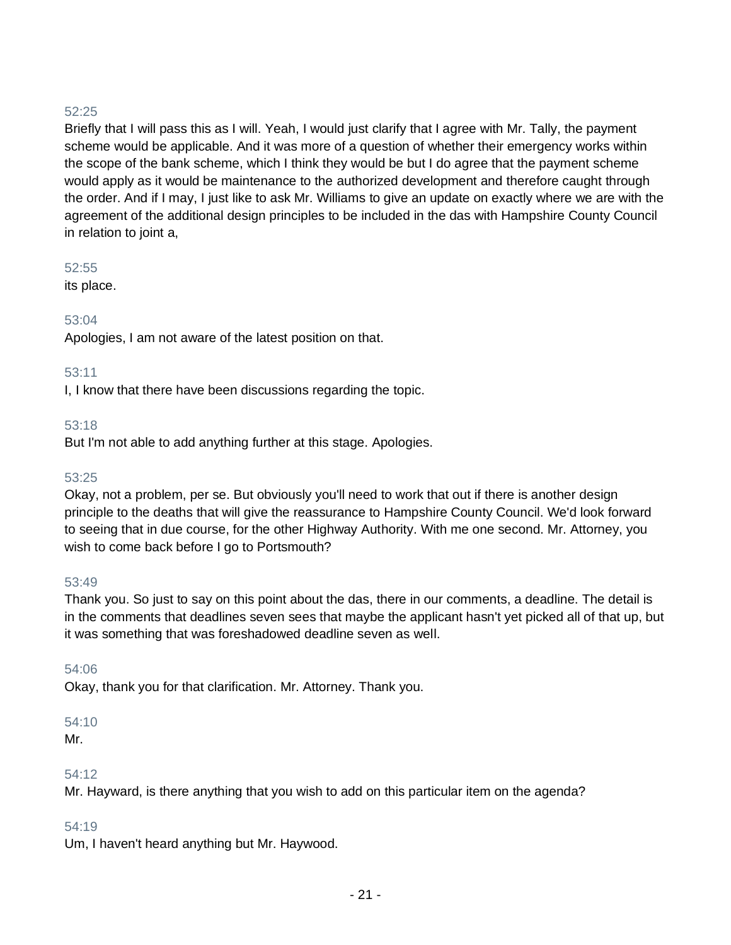Briefly that I will pass this as I will. Yeah, I would just clarify that I agree with Mr. Tally, the payment scheme would be applicable. And it was more of a question of whether their emergency works within the scope of the bank scheme, which I think they would be but I do agree that the payment scheme would apply as it would be maintenance to the authorized development and therefore caught through the order. And if I may, I just like to ask Mr. Williams to give an update on exactly where we are with the agreement of the additional design principles to be included in the das with Hampshire County Council in relation to joint a,

### 52:55

its place.

# 53:04

Apologies, I am not aware of the latest position on that.

# 53:11

I, I know that there have been discussions regarding the topic.

# 53:18

But I'm not able to add anything further at this stage. Apologies.

# 53:25

Okay, not a problem, per se. But obviously you'll need to work that out if there is another design principle to the deaths that will give the reassurance to Hampshire County Council. We'd look forward to seeing that in due course, for the other Highway Authority. With me one second. Mr. Attorney, you wish to come back before I go to Portsmouth?

# 53:49

Thank you. So just to say on this point about the das, there in our comments, a deadline. The detail is in the comments that deadlines seven sees that maybe the applicant hasn't yet picked all of that up, but it was something that was foreshadowed deadline seven as well.

# 54:06

Okay, thank you for that clarification. Mr. Attorney. Thank you.

# 54:10

Mr.

# 54:12

Mr. Hayward, is there anything that you wish to add on this particular item on the agenda?

# 54:19

Um, I haven't heard anything but Mr. Haywood.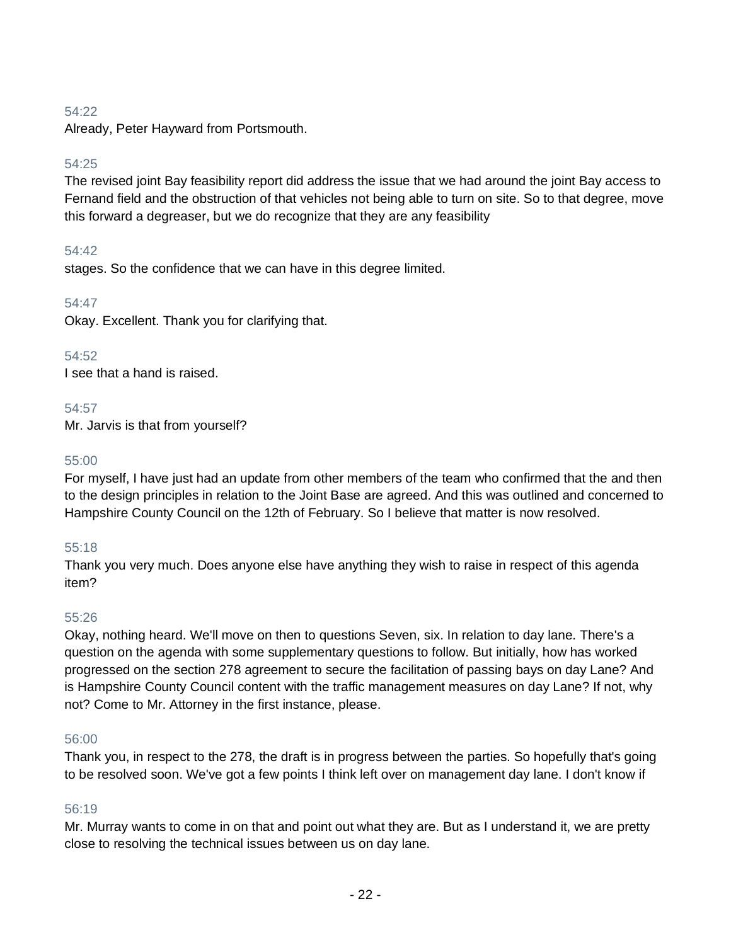Already, Peter Hayward from Portsmouth.

### 54:25

The revised joint Bay feasibility report did address the issue that we had around the joint Bay access to Fernand field and the obstruction of that vehicles not being able to turn on site. So to that degree, move this forward a degreaser, but we do recognize that they are any feasibility

### 54:42

stages. So the confidence that we can have in this degree limited.

### 54:47

Okay. Excellent. Thank you for clarifying that.

### 54:52

I see that a hand is raised.

### 54:57

Mr. Jarvis is that from yourself?

### 55:00

For myself, I have just had an update from other members of the team who confirmed that the and then to the design principles in relation to the Joint Base are agreed. And this was outlined and concerned to Hampshire County Council on the 12th of February. So I believe that matter is now resolved.

# 55:18

Thank you very much. Does anyone else have anything they wish to raise in respect of this agenda item?

### 55:26

Okay, nothing heard. We'll move on then to questions Seven, six. In relation to day lane. There's a question on the agenda with some supplementary questions to follow. But initially, how has worked progressed on the section 278 agreement to secure the facilitation of passing bays on day Lane? And is Hampshire County Council content with the traffic management measures on day Lane? If not, why not? Come to Mr. Attorney in the first instance, please.

### 56:00

Thank you, in respect to the 278, the draft is in progress between the parties. So hopefully that's going to be resolved soon. We've got a few points I think left over on management day lane. I don't know if

### 56:19

Mr. Murray wants to come in on that and point out what they are. But as I understand it, we are pretty close to resolving the technical issues between us on day lane.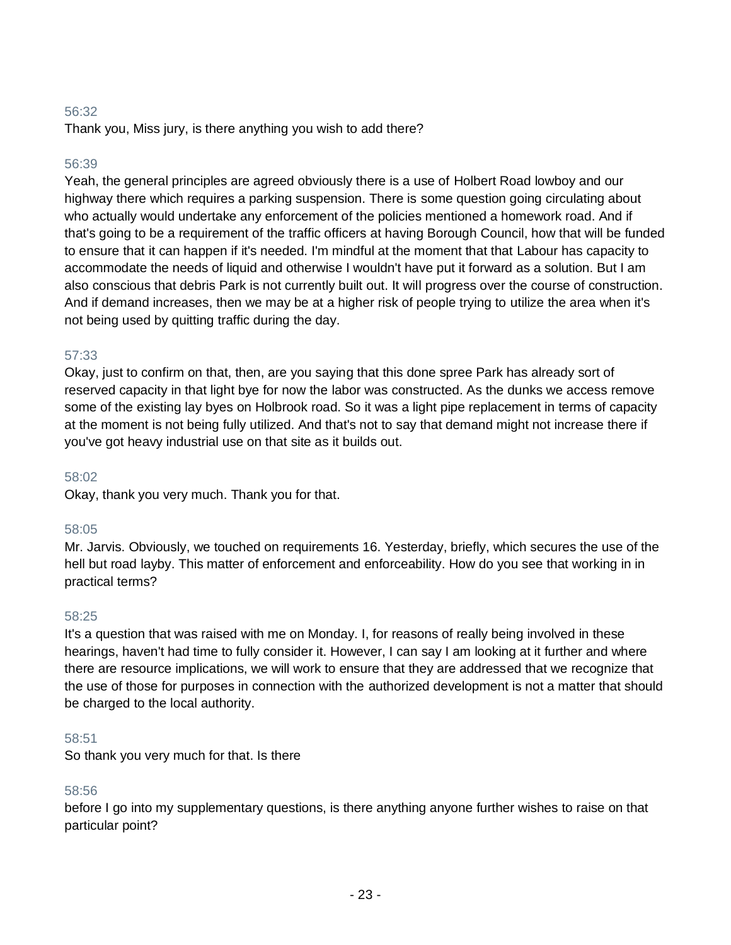Thank you, Miss jury, is there anything you wish to add there?

### 56:39

Yeah, the general principles are agreed obviously there is a use of Holbert Road lowboy and our highway there which requires a parking suspension. There is some question going circulating about who actually would undertake any enforcement of the policies mentioned a homework road. And if that's going to be a requirement of the traffic officers at having Borough Council, how that will be funded to ensure that it can happen if it's needed. I'm mindful at the moment that that Labour has capacity to accommodate the needs of liquid and otherwise I wouldn't have put it forward as a solution. But I am also conscious that debris Park is not currently built out. It will progress over the course of construction. And if demand increases, then we may be at a higher risk of people trying to utilize the area when it's not being used by quitting traffic during the day.

### 57:33

Okay, just to confirm on that, then, are you saying that this done spree Park has already sort of reserved capacity in that light bye for now the labor was constructed. As the dunks we access remove some of the existing lay byes on Holbrook road. So it was a light pipe replacement in terms of capacity at the moment is not being fully utilized. And that's not to say that demand might not increase there if you've got heavy industrial use on that site as it builds out.

### 58:02

Okay, thank you very much. Thank you for that.

### 58:05

Mr. Jarvis. Obviously, we touched on requirements 16. Yesterday, briefly, which secures the use of the hell but road layby. This matter of enforcement and enforceability. How do you see that working in in practical terms?

### 58:25

It's a question that was raised with me on Monday. I, for reasons of really being involved in these hearings, haven't had time to fully consider it. However, I can say I am looking at it further and where there are resource implications, we will work to ensure that they are addressed that we recognize that the use of those for purposes in connection with the authorized development is not a matter that should be charged to the local authority.

### 58:51

So thank you very much for that. Is there

# 58:56

before I go into my supplementary questions, is there anything anyone further wishes to raise on that particular point?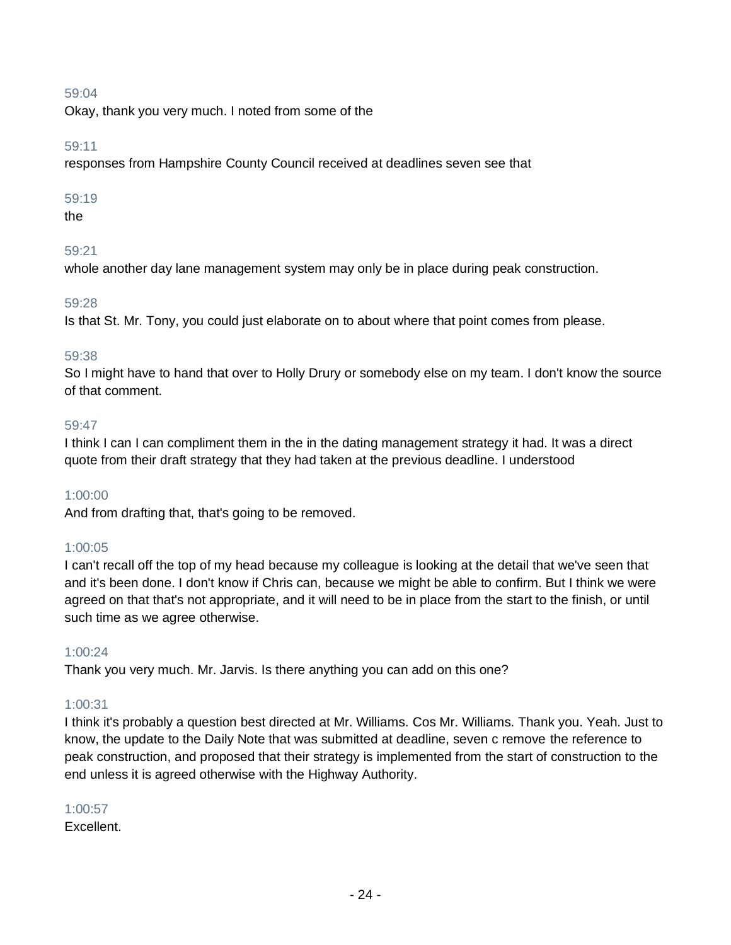Okay, thank you very much. I noted from some of the

### 59:11

responses from Hampshire County Council received at deadlines seven see that

### 59:19

the

# 59:21

whole another day lane management system may only be in place during peak construction.

### 59:28

Is that St. Mr. Tony, you could just elaborate on to about where that point comes from please.

### 59:38

So I might have to hand that over to Holly Drury or somebody else on my team. I don't know the source of that comment.

### 59:47

I think I can I can compliment them in the in the dating management strategy it had. It was a direct quote from their draft strategy that they had taken at the previous deadline. I understood

### 1:00:00

And from drafting that, that's going to be removed.

# 1:00:05

I can't recall off the top of my head because my colleague is looking at the detail that we've seen that and it's been done. I don't know if Chris can, because we might be able to confirm. But I think we were agreed on that that's not appropriate, and it will need to be in place from the start to the finish, or until such time as we agree otherwise.

### 1:00:24

Thank you very much. Mr. Jarvis. Is there anything you can add on this one?

# 1:00:31

I think it's probably a question best directed at Mr. Williams. Cos Mr. Williams. Thank you. Yeah. Just to know, the update to the Daily Note that was submitted at deadline, seven c remove the reference to peak construction, and proposed that their strategy is implemented from the start of construction to the end unless it is agreed otherwise with the Highway Authority.

### 1:00:57

Excellent.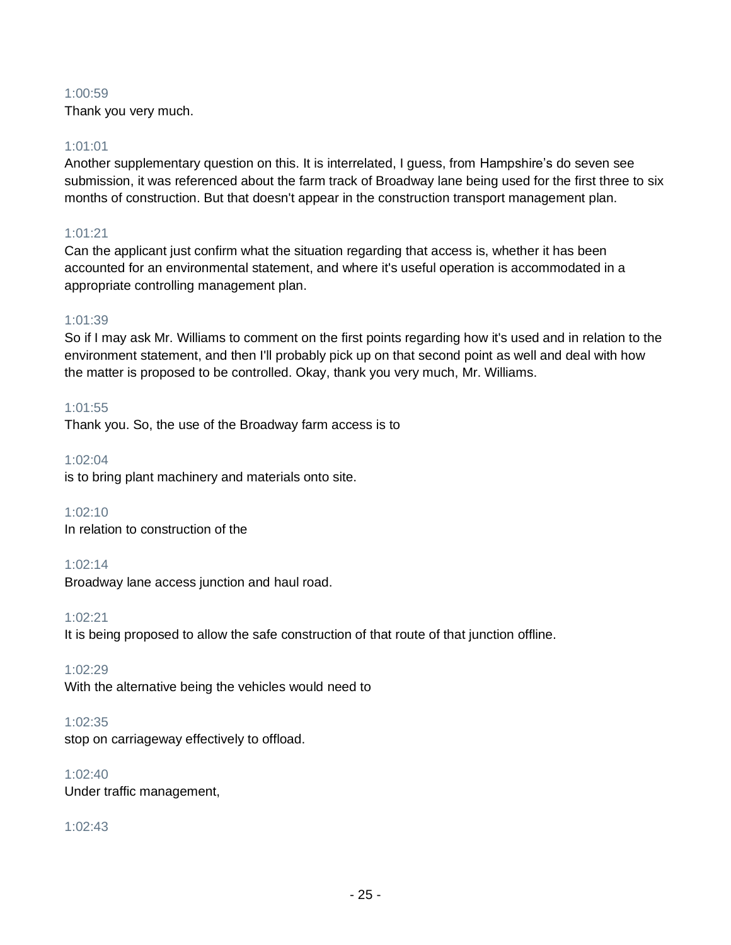### 1:00:59

Thank you very much.

### 1:01:01

Another supplementary question on this. It is interrelated, I guess, from Hampshire's do seven see submission, it was referenced about the farm track of Broadway lane being used for the first three to six months of construction. But that doesn't appear in the construction transport management plan.

# 1:01:21

Can the applicant just confirm what the situation regarding that access is, whether it has been accounted for an environmental statement, and where it's useful operation is accommodated in a appropriate controlling management plan.

### 1:01:39

So if I may ask Mr. Williams to comment on the first points regarding how it's used and in relation to the environment statement, and then I'll probably pick up on that second point as well and deal with how the matter is proposed to be controlled. Okay, thank you very much, Mr. Williams.

### 1:01:55

Thank you. So, the use of the Broadway farm access is to

1:02:04

is to bring plant machinery and materials onto site.

1:02:10 In relation to construction of the

### 1:02:14

Broadway lane access junction and haul road.

1:02:21

It is being proposed to allow the safe construction of that route of that junction offline.

1:02:29

With the alternative being the vehicles would need to

### 1:02:35

stop on carriageway effectively to offload.

### 1:02:40

Under traffic management,

# 1:02:43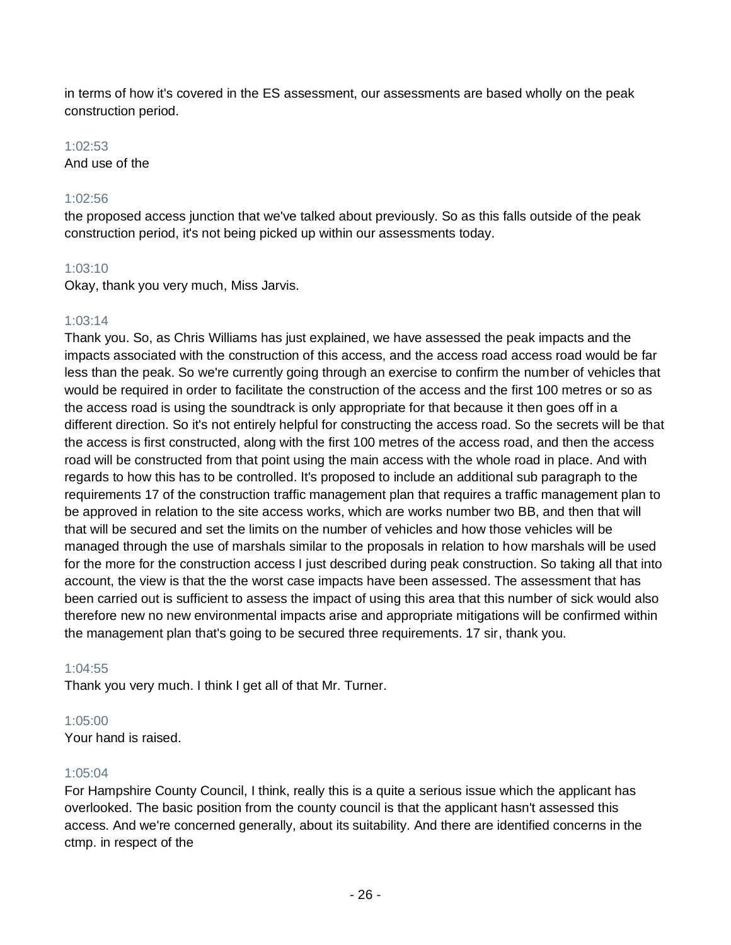in terms of how it's covered in the ES assessment, our assessments are based wholly on the peak construction period.

### 1:02:53

And use of the

### 1:02:56

the proposed access junction that we've talked about previously. So as this falls outside of the peak construction period, it's not being picked up within our assessments today.

### 1:03:10

Okay, thank you very much, Miss Jarvis.

### 1:03:14

Thank you. So, as Chris Williams has just explained, we have assessed the peak impacts and the impacts associated with the construction of this access, and the access road access road would be far less than the peak. So we're currently going through an exercise to confirm the number of vehicles that would be required in order to facilitate the construction of the access and the first 100 metres or so as the access road is using the soundtrack is only appropriate for that because it then goes off in a different direction. So it's not entirely helpful for constructing the access road. So the secrets will be that the access is first constructed, along with the first 100 metres of the access road, and then the access road will be constructed from that point using the main access with the whole road in place. And with regards to how this has to be controlled. It's proposed to include an additional sub paragraph to the requirements 17 of the construction traffic management plan that requires a traffic management plan to be approved in relation to the site access works, which are works number two BB, and then that will that will be secured and set the limits on the number of vehicles and how those vehicles will be managed through the use of marshals similar to the proposals in relation to how marshals will be used for the more for the construction access I just described during peak construction. So taking all that into account, the view is that the the worst case impacts have been assessed. The assessment that has been carried out is sufficient to assess the impact of using this area that this number of sick would also therefore new no new environmental impacts arise and appropriate mitigations will be confirmed within the management plan that's going to be secured three requirements. 17 sir, thank you.

### 1:04:55

Thank you very much. I think I get all of that Mr. Turner.

### 1:05:00

Your hand is raised.

### 1:05:04

For Hampshire County Council, I think, really this is a quite a serious issue which the applicant has overlooked. The basic position from the county council is that the applicant hasn't assessed this access. And we're concerned generally, about its suitability. And there are identified concerns in the ctmp. in respect of the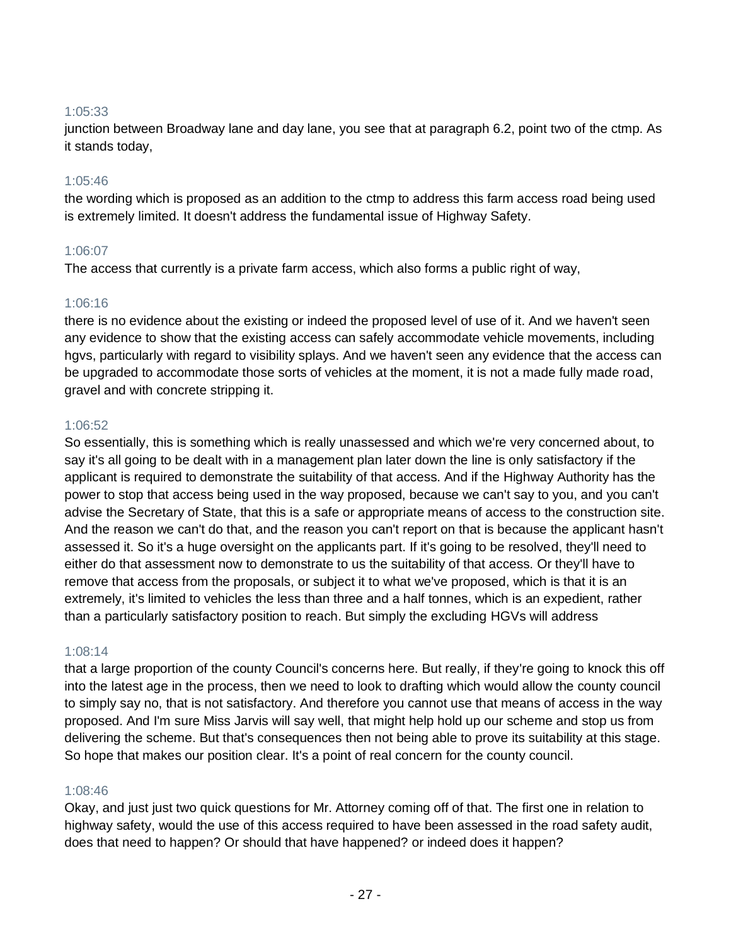### 1:05:33

junction between Broadway lane and day lane, you see that at paragraph 6.2, point two of the ctmp. As it stands today,

### 1:05:46

the wording which is proposed as an addition to the ctmp to address this farm access road being used is extremely limited. It doesn't address the fundamental issue of Highway Safety.

### 1:06:07

The access that currently is a private farm access, which also forms a public right of way,

### 1:06:16

there is no evidence about the existing or indeed the proposed level of use of it. And we haven't seen any evidence to show that the existing access can safely accommodate vehicle movements, including hgvs, particularly with regard to visibility splays. And we haven't seen any evidence that the access can be upgraded to accommodate those sorts of vehicles at the moment, it is not a made fully made road, gravel and with concrete stripping it.

### 1:06:52

So essentially, this is something which is really unassessed and which we're very concerned about, to say it's all going to be dealt with in a management plan later down the line is only satisfactory if the applicant is required to demonstrate the suitability of that access. And if the Highway Authority has the power to stop that access being used in the way proposed, because we can't say to you, and you can't advise the Secretary of State, that this is a safe or appropriate means of access to the construction site. And the reason we can't do that, and the reason you can't report on that is because the applicant hasn't assessed it. So it's a huge oversight on the applicants part. If it's going to be resolved, they'll need to either do that assessment now to demonstrate to us the suitability of that access. Or they'll have to remove that access from the proposals, or subject it to what we've proposed, which is that it is an extremely, it's limited to vehicles the less than three and a half tonnes, which is an expedient, rather than a particularly satisfactory position to reach. But simply the excluding HGVs will address

# 1:08:14

that a large proportion of the county Council's concerns here. But really, if they're going to knock this off into the latest age in the process, then we need to look to drafting which would allow the county council to simply say no, that is not satisfactory. And therefore you cannot use that means of access in the way proposed. And I'm sure Miss Jarvis will say well, that might help hold up our scheme and stop us from delivering the scheme. But that's consequences then not being able to prove its suitability at this stage. So hope that makes our position clear. It's a point of real concern for the county council.

# 1:08:46

Okay, and just just two quick questions for Mr. Attorney coming off of that. The first one in relation to highway safety, would the use of this access required to have been assessed in the road safety audit, does that need to happen? Or should that have happened? or indeed does it happen?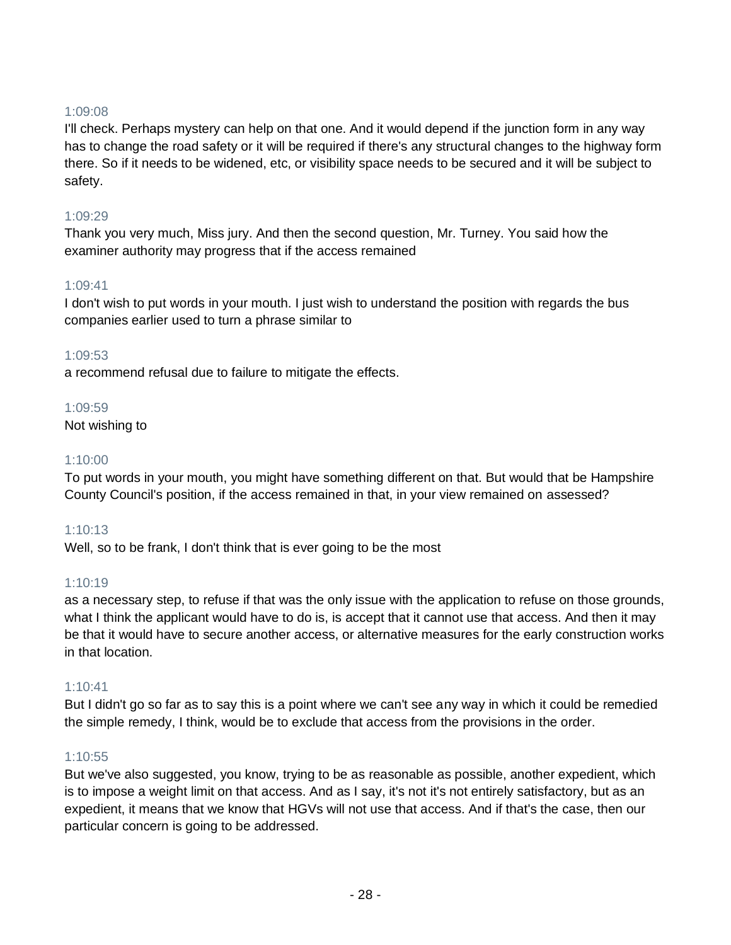### 1:09:08

I'll check. Perhaps mystery can help on that one. And it would depend if the junction form in any way has to change the road safety or it will be required if there's any structural changes to the highway form there. So if it needs to be widened, etc, or visibility space needs to be secured and it will be subject to safety.

### 1:09:29

Thank you very much, Miss jury. And then the second question, Mr. Turney. You said how the examiner authority may progress that if the access remained

### 1:09:41

I don't wish to put words in your mouth. I just wish to understand the position with regards the bus companies earlier used to turn a phrase similar to

### 1:09:53

a recommend refusal due to failure to mitigate the effects.

### 1:09:59

Not wishing to

### 1:10:00

To put words in your mouth, you might have something different on that. But would that be Hampshire County Council's position, if the access remained in that, in your view remained on assessed?

# 1:10:13

Well, so to be frank, I don't think that is ever going to be the most

# 1:10:19

as a necessary step, to refuse if that was the only issue with the application to refuse on those grounds, what I think the applicant would have to do is, is accept that it cannot use that access. And then it may be that it would have to secure another access, or alternative measures for the early construction works in that location.

### 1:10:41

But I didn't go so far as to say this is a point where we can't see any way in which it could be remedied the simple remedy, I think, would be to exclude that access from the provisions in the order.

### 1:10:55

But we've also suggested, you know, trying to be as reasonable as possible, another expedient, which is to impose a weight limit on that access. And as I say, it's not it's not entirely satisfactory, but as an expedient, it means that we know that HGVs will not use that access. And if that's the case, then our particular concern is going to be addressed.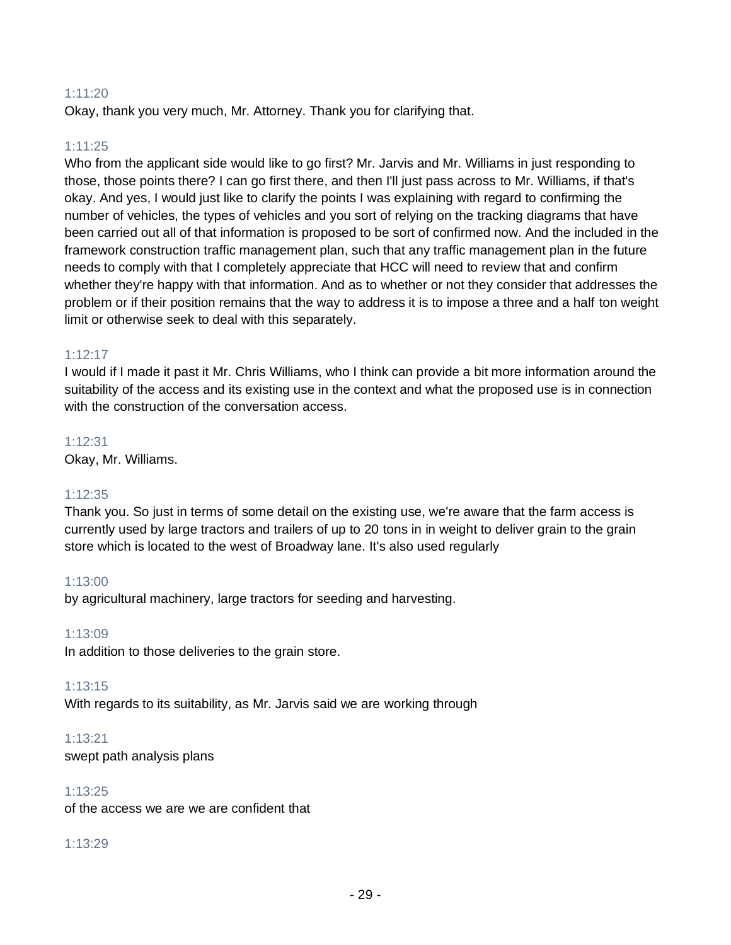### 1:11:20

Okay, thank you very much, Mr. Attorney. Thank you for clarifying that.

### 1:11:25

Who from the applicant side would like to go first? Mr. Jarvis and Mr. Williams in just responding to those, those points there? I can go first there, and then I'll just pass across to Mr. Williams, if that's okay. And yes, I would just like to clarify the points I was explaining with regard to confirming the number of vehicles, the types of vehicles and you sort of relying on the tracking diagrams that have been carried out all of that information is proposed to be sort of confirmed now. And the included in the framework construction traffic management plan, such that any traffic management plan in the future needs to comply with that I completely appreciate that HCC will need to review that and confirm whether they're happy with that information. And as to whether or not they consider that addresses the problem or if their position remains that the way to address it is to impose a three and a half ton weight limit or otherwise seek to deal with this separately.

#### 1:12:17

I would if I made it past it Mr. Chris Williams, who I think can provide a bit more information around the suitability of the access and its existing use in the context and what the proposed use is in connection with the construction of the conversation access.

1:12:31 Okay, Mr. Williams.

#### 1:12:35

Thank you. So just in terms of some detail on the existing use, we're aware that the farm access is currently used by large tractors and trailers of up to 20 tons in in weight to deliver grain to the grain store which is located to the west of Broadway lane. It's also used regularly

### 1:13:00

by agricultural machinery, large tractors for seeding and harvesting.

#### 1:13:09

In addition to those deliveries to the grain store.

#### 1:13:15

With regards to its suitability, as Mr. Jarvis said we are working through

#### 1:13:21

swept path analysis plans

### 1:13:25

of the access we are we are confident that

### 1:13:29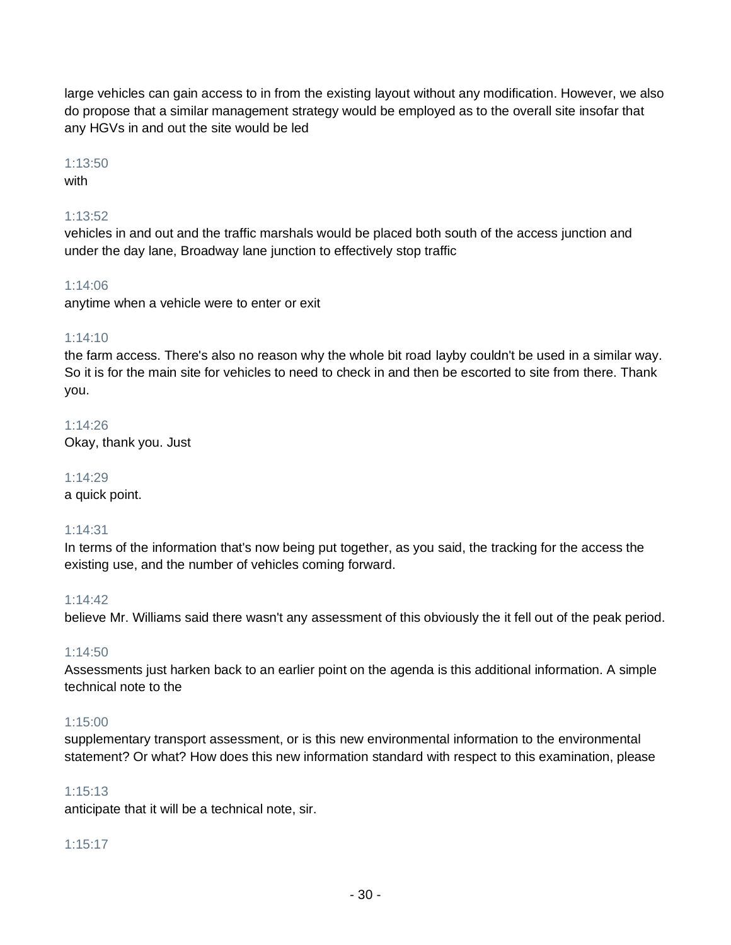large vehicles can gain access to in from the existing layout without any modification. However, we also do propose that a similar management strategy would be employed as to the overall site insofar that any HGVs in and out the site would be led

### 1:13:50

### with

# 1:13:52

vehicles in and out and the traffic marshals would be placed both south of the access junction and under the day lane, Broadway lane junction to effectively stop traffic

### 1:14:06

anytime when a vehicle were to enter or exit

### 1:14:10

the farm access. There's also no reason why the whole bit road layby couldn't be used in a similar way. So it is for the main site for vehicles to need to check in and then be escorted to site from there. Thank you.

1:14:26 Okay, thank you. Just

1:14:29 a quick point.

### 1:14:31

In terms of the information that's now being put together, as you said, the tracking for the access the existing use, and the number of vehicles coming forward.

### 1:14:42

believe Mr. Williams said there wasn't any assessment of this obviously the it fell out of the peak period.

### 1:14:50

Assessments just harken back to an earlier point on the agenda is this additional information. A simple technical note to the

### 1:15:00

supplementary transport assessment, or is this new environmental information to the environmental statement? Or what? How does this new information standard with respect to this examination, please

### 1:15:13

anticipate that it will be a technical note, sir.

### 1:15:17